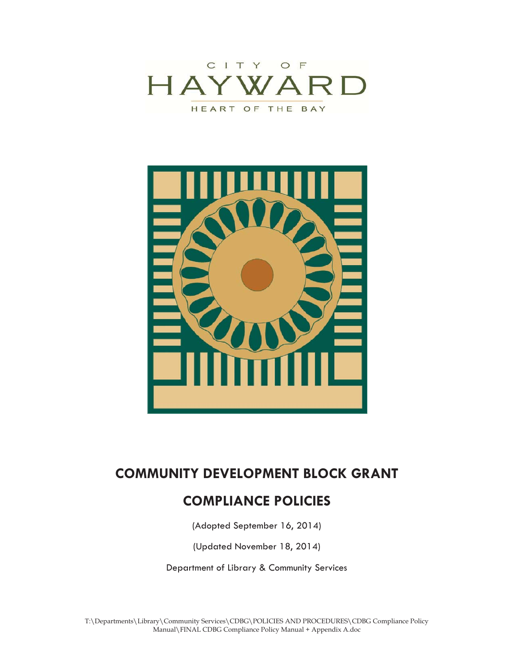



# **COMMUNITY DEVELOPMENT BLOCK GRANT**

# **COMPLIANCE POLICIES**

(Adopted September 16, 2014)

(Updated November 18, 2014)

Department of Library & Community Services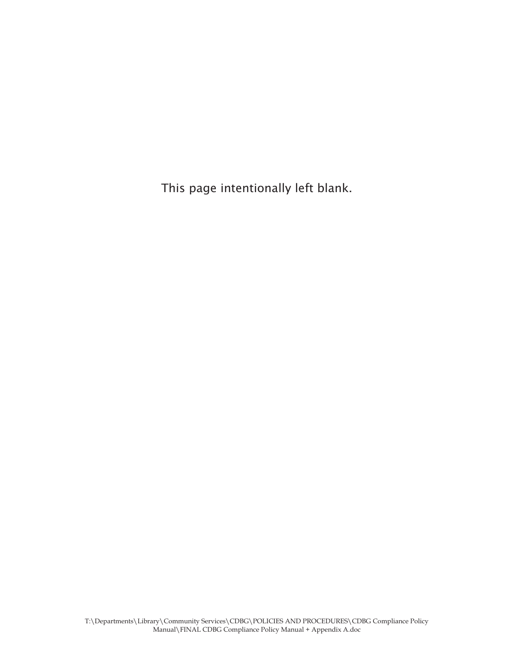This page intentionally left blank.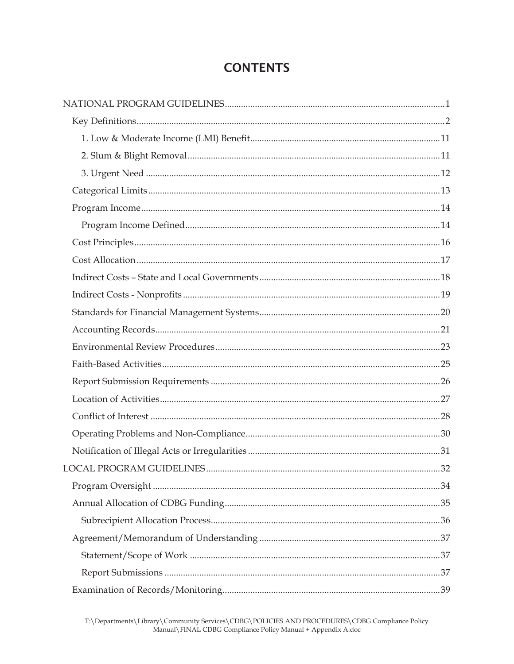# **CONTENTS**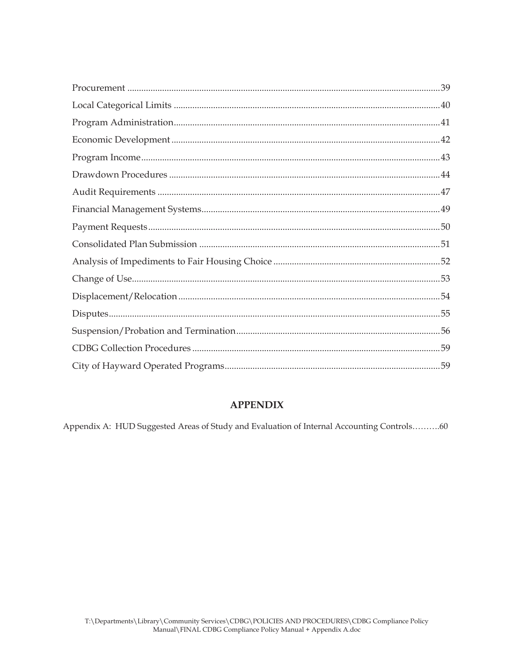#### **APPENDIX**

Appendix A: HUD Suggested Areas of Study and Evaluation of Internal Accounting Controls..........60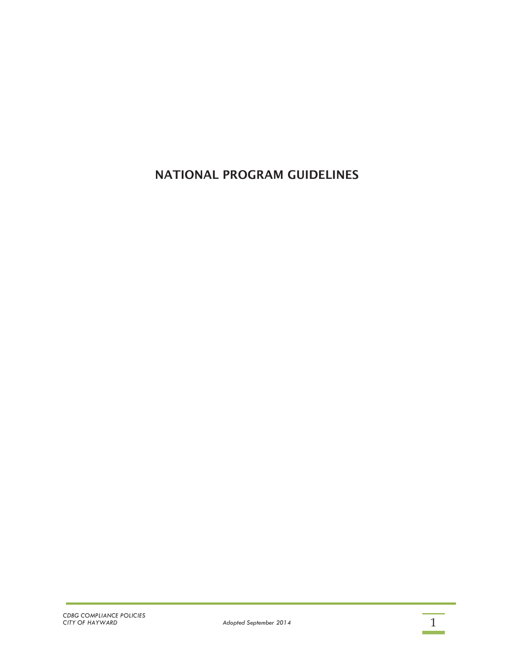NATIONAL PROGRAM GUIDELINES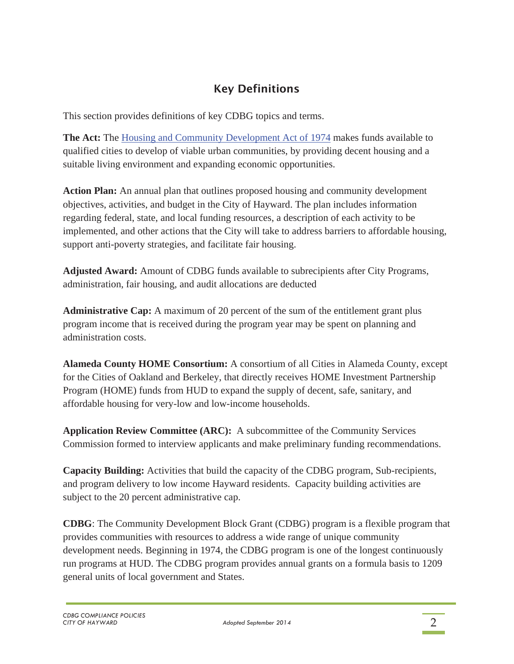# Key Definitions

This section provides definitions of key CDBG topics and terms.

**The Act:** The Housing and Community Development Act of 1974 makes funds available to qualified cities to develop of viable urban communities, by providing decent housing and a suitable living environment and expanding economic opportunities.

**Action Plan:** An annual plan that outlines proposed housing and community development objectives, activities, and budget in the City of Hayward. The plan includes information regarding federal, state, and local funding resources, a description of each activity to be implemented, and other actions that the City will take to address barriers to affordable housing, support anti-poverty strategies, and facilitate fair housing.

**Adjusted Award:** Amount of CDBG funds available to subrecipients after City Programs, administration, fair housing, and audit allocations are deducted

**Administrative Cap:** A maximum of 20 percent of the sum of the entitlement grant plus program income that is received during the program year may be spent on planning and administration costs.

**Alameda County HOME Consortium:** A consortium of all Cities in Alameda County, except for the Cities of Oakland and Berkeley, that directly receives HOME Investment Partnership Program (HOME) funds from HUD to expand the supply of decent, safe, sanitary, and affordable housing for very-low and low-income households.

**Application Review Committee (ARC):** A subcommittee of the Community Services Commission formed to interview applicants and make preliminary funding recommendations.

**Capacity Building:** Activities that build the capacity of the CDBG program, Sub-recipients, and program delivery to low income Hayward residents. Capacity building activities are subject to the 20 percent administrative cap.

**CDBG**: The Community Development Block Grant (CDBG) program is a flexible program that provides communities with resources to address a wide range of unique community development needs. Beginning in 1974, the CDBG program is one of the longest continuously run programs at HUD. The CDBG program provides annual grants on a formula basis to 1209 general units of local government and States.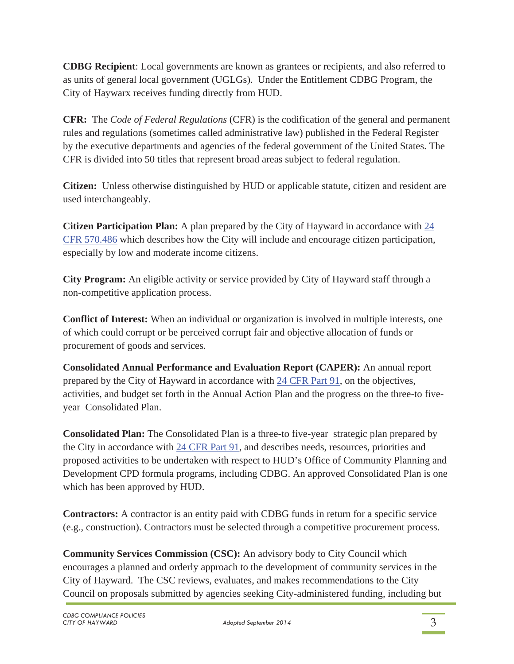**CDBG Recipient**: Local governments are known as grantees or recipients, and also referred to as units of general local government (UGLGs). Under the Entitlement CDBG Program, the City of Haywarx receives funding directly from HUD.

**CFR:** The *Code of Federal Regulations* (CFR) is the codification of the general and permanent rules and regulations (sometimes called administrative law) published in the Federal Register by the executive departments and agencies of the federal government of the United States. The CFR is divided into 50 titles that represent broad areas subject to federal regulation.

**Citizen:** Unless otherwise distinguished by HUD or applicable statute, citizen and resident are used interchangeably.

**Citizen Participation Plan:** A plan prepared by the City of Hayward in accordance with 24 CFR 570.486 which describes how the City will include and encourage citizen participation, especially by low and moderate income citizens.

**City Program:** An eligible activity or service provided by City of Hayward staff through a non-competitive application process.

**Conflict of Interest:** When an individual or organization is involved in multiple interests, one of which could corrupt or be perceived corrupt fair and objective allocation of funds or procurement of goods and services.

**Consolidated Annual Performance and Evaluation Report (CAPER):** An annual report prepared by the City of Hayward in accordance with 24 CFR Part 91, on the objectives, activities, and budget set forth in the Annual Action Plan and the progress on the three-to fiveyear Consolidated Plan.

**Consolidated Plan:** The Consolidated Plan is a three-to five-year strategic plan prepared by the City in accordance with 24 CFR Part 91, and describes needs, resources, priorities and proposed activities to be undertaken with respect to HUD's Office of Community Planning and Development CPD formula programs, including CDBG. An approved Consolidated Plan is one which has been approved by HUD.

**Contractors:** A contractor is an entity paid with CDBG funds in return for a specific service (e.g., construction). Contractors must be selected through a competitive procurement process.

**Community Services Commission (CSC):** An advisory body to City Council which encourages a planned and orderly approach to the development of community services in the City of Hayward. The CSC reviews, evaluates, and makes recommendations to the City Council on proposals submitted by agencies seeking City-administered funding, including but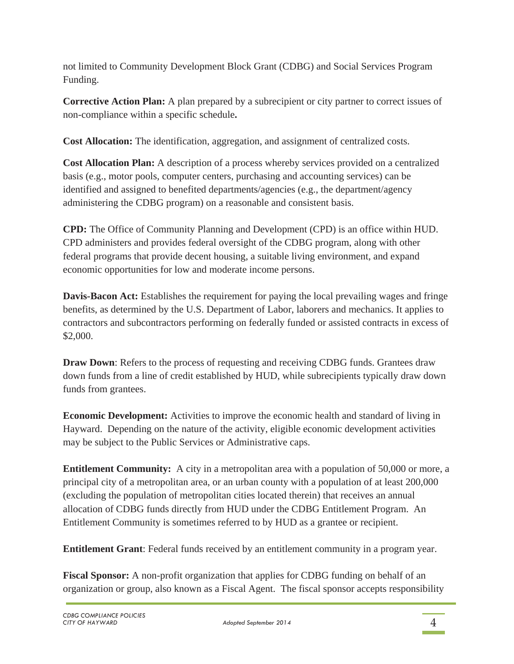not limited to Community Development Block Grant (CDBG) and Social Services Program Funding.

**Corrective Action Plan:** A plan prepared by a subrecipient or city partner to correct issues of non-compliance within a specific schedule**.**

**Cost Allocation:** The identification, aggregation, and assignment of centralized costs.

**Cost Allocation Plan:** A description of a process whereby services provided on a centralized basis (e.g., motor pools, computer centers, purchasing and accounting services) can be identified and assigned to benefited departments/agencies (e.g., the department/agency administering the CDBG program) on a reasonable and consistent basis.

**CPD:** The Office of Community Planning and Development (CPD) is an office within HUD. CPD administers and provides federal oversight of the CDBG program, along with other federal programs that provide decent housing, a suitable living environment, and expand economic opportunities for low and moderate income persons.

**Davis-Bacon Act:** Establishes the requirement for paying the local prevailing wages and fringe benefits, as determined by the U.S. Department of Labor, laborers and mechanics. It applies to contractors and subcontractors performing on federally funded or assisted contracts in excess of \$2,000.

**Draw Down**: Refers to the process of requesting and receiving CDBG funds. Grantees draw down funds from a line of credit established by HUD, while subrecipients typically draw down funds from grantees.

**Economic Development:** Activities to improve the economic health and standard of living in Hayward. Depending on the nature of the activity, eligible economic development activities may be subject to the Public Services or Administrative caps.

**Entitlement Community:** A city in a metropolitan area with a population of 50,000 or more, a principal city of a metropolitan area, or an urban county with a population of at least 200,000 (excluding the population of metropolitan cities located therein) that receives an annual allocation of CDBG funds directly from HUD under the CDBG Entitlement Program. An Entitlement Community is sometimes referred to by HUD as a grantee or recipient.

**Entitlement Grant**: Federal funds received by an entitlement community in a program year.

**Fiscal Sponsor:** A non-profit organization that applies for CDBG funding on behalf of an organization or group, also known as a Fiscal Agent. The fiscal sponsor accepts responsibility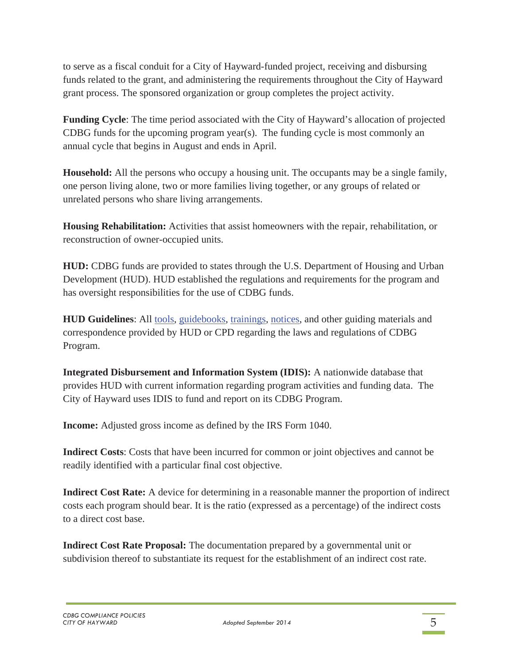to serve as a fiscal conduit for a City of Hayward-funded project, receiving and disbursing funds related to the grant, and administering the requirements throughout the City of Hayward grant process. The sponsored organization or group completes the project activity.

**Funding Cycle**: The time period associated with the City of Hayward's allocation of projected CDBG funds for the upcoming program year(s). The funding cycle is most commonly an annual cycle that begins in August and ends in April.

**Household:** All the persons who occupy a housing unit. The occupants may be a single family, one person living alone, two or more families living together, or any groups of related or unrelated persons who share living arrangements.

**Housing Rehabilitation:** Activities that assist homeowners with the repair, rehabilitation, or reconstruction of owner-occupied units.

**HUD:** CDBG funds are provided to states through the U.S. Department of Housing and Urban Development (HUD). HUD established the regulations and requirements for the program and has oversight responsibilities for the use of CDBG funds.

**HUD Guidelines**: All tools, guidebooks, trainings, notices, and other guiding materials and correspondence provided by HUD or CPD regarding the laws and regulations of CDBG Program.

**Integrated Disbursement and Information System (IDIS):** A nationwide database that provides HUD with current information regarding program activities and funding data. The City of Hayward uses IDIS to fund and report on its CDBG Program.

**Income:** Adjusted gross income as defined by the IRS Form 1040.

**Indirect Costs**: Costs that have been incurred for common or joint objectives and cannot be readily identified with a particular final cost objective.

**Indirect Cost Rate:** A device for determining in a reasonable manner the proportion of indirect costs each program should bear. It is the ratio (expressed as a percentage) of the indirect costs to a direct cost base.

**Indirect Cost Rate Proposal:** The documentation prepared by a governmental unit or subdivision thereof to substantiate its request for the establishment of an indirect cost rate.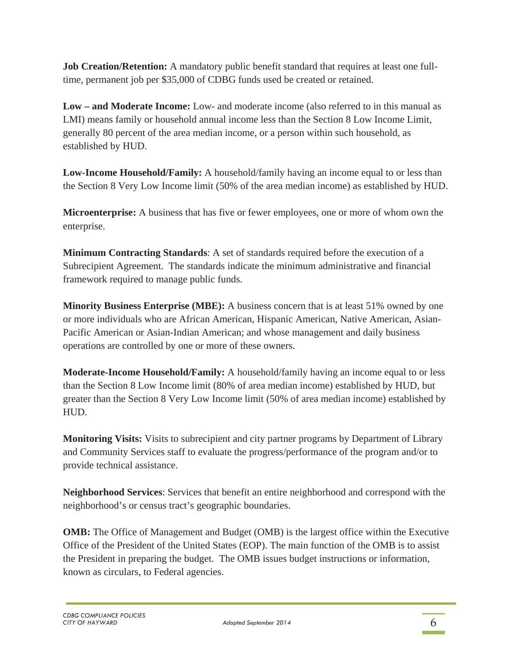**Job Creation/Retention:** A mandatory public benefit standard that requires at least one fulltime, permanent job per \$35,000 of CDBG funds used be created or retained.

**Low – and Moderate Income:** Low- and moderate income (also referred to in this manual as LMI) means family or household annual income less than the Section 8 Low Income Limit, generally 80 percent of the area median income, or a person within such household, as established by HUD.

**Low-Income Household/Family:** A household/family having an income equal to or less than the Section 8 Very Low Income limit (50% of the area median income) as established by HUD.

**Microenterprise:** A business that has five or fewer employees, one or more of whom own the enterprise.

**Minimum Contracting Standards**: A set of standards required before the execution of a Subrecipient Agreement. The standards indicate the minimum administrative and financial framework required to manage public funds.

**Minority Business Enterprise (MBE):** A business concern that is at least 51% owned by one or more individuals who are African American, Hispanic American, Native American, Asian-Pacific American or Asian-Indian American; and whose management and daily business operations are controlled by one or more of these owners.

**Moderate-Income Household/Family:** A household/family having an income equal to or less than the Section 8 Low Income limit (80% of area median income) established by HUD, but greater than the Section 8 Very Low Income limit (50% of area median income) established by HUD.

**Monitoring Visits:** Visits to subrecipient and city partner programs by Department of Library and Community Services staff to evaluate the progress/performance of the program and/or to provide technical assistance.

**Neighborhood Services**: Services that benefit an entire neighborhood and correspond with the neighborhood's or census tract's geographic boundaries.

**OMB:** The Office of Management and Budget (OMB) is the largest office within the Executive Office of the President of the United States (EOP). The main function of the OMB is to assist the President in preparing the budget. The OMB issues budget instructions or information, known as circulars, to Federal agencies.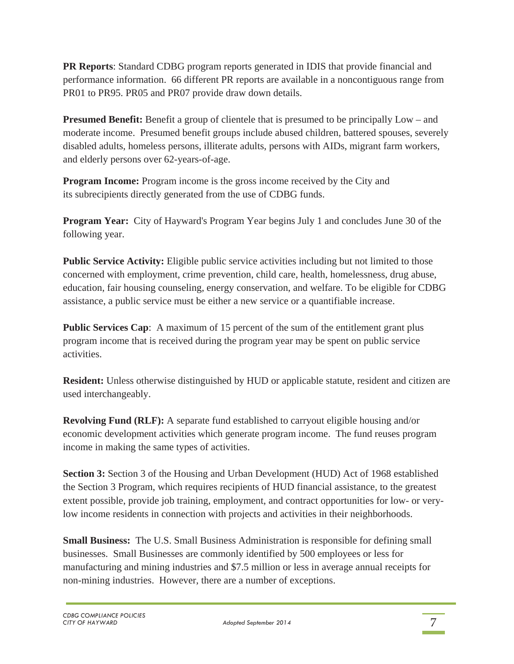**PR Reports**: Standard CDBG program reports generated in IDIS that provide financial and performance information. 66 different PR reports are available in a noncontiguous range from PR01 to PR95. PR05 and PR07 provide draw down details.

**Presumed Benefit:** Benefit a group of clientele that is presumed to be principally Low – and moderate income. Presumed benefit groups include abused children, battered spouses, severely disabled adults, homeless persons, illiterate adults, persons with AIDs, migrant farm workers, and elderly persons over 62-years-of-age.

**Program Income:** Program income is the gross income received by the City and its subrecipients directly generated from the use of CDBG funds.

**Program Year:** City of Hayward's Program Year begins July 1 and concludes June 30 of the following year.

**Public Service Activity:** Eligible public service activities including but not limited to those concerned with employment, crime prevention, child care, health, homelessness, drug abuse, education, fair housing counseling, energy conservation, and welfare. To be eligible for CDBG assistance, a public service must be either a new service or a quantifiable increase.

**Public Services Cap**: A maximum of 15 percent of the sum of the entitlement grant plus program income that is received during the program year may be spent on public service activities.

**Resident:** Unless otherwise distinguished by HUD or applicable statute, resident and citizen are used interchangeably.

**Revolving Fund (RLF):** A separate fund established to carryout eligible housing and/or economic development activities which generate program income. The fund reuses program income in making the same types of activities.

**Section 3:** Section 3 of the Housing and Urban Development (HUD) Act of 1968 established the Section 3 Program, which requires recipients of HUD financial assistance, to the greatest extent possible, provide job training, employment, and contract opportunities for low- or verylow income residents in connection with projects and activities in their neighborhoods.

**Small Business:** The U.S. Small Business Administration is responsible for defining small businesses. Small Businesses are commonly identified by 500 employees or less for manufacturing and mining industries and \$7.5 million or less in average annual receipts for non-mining industries. However, there are a number of exceptions.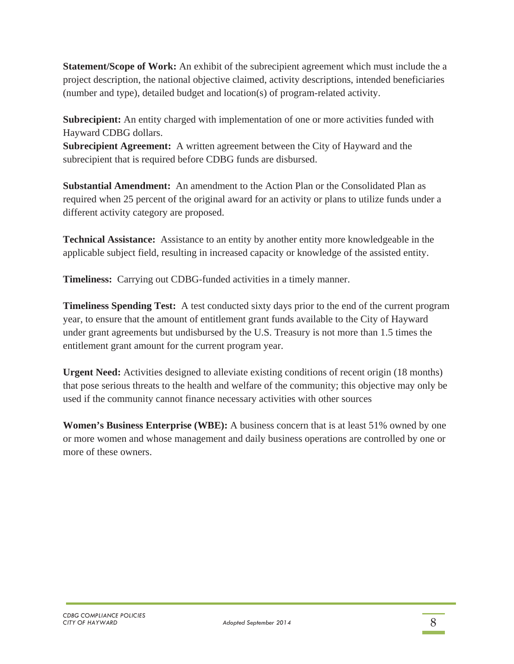**Statement/Scope of Work:** An exhibit of the subrecipient agreement which must include the a project description, the national objective claimed, activity descriptions, intended beneficiaries (number and type), detailed budget and location(s) of program-related activity.

**Subrecipient:** An entity charged with implementation of one or more activities funded with Hayward CDBG dollars.

**Subrecipient Agreement:** A written agreement between the City of Hayward and the subrecipient that is required before CDBG funds are disbursed.

**Substantial Amendment:** An amendment to the Action Plan or the Consolidated Plan as required when 25 percent of the original award for an activity or plans to utilize funds under a different activity category are proposed.

**Technical Assistance:** Assistance to an entity by another entity more knowledgeable in the applicable subject field, resulting in increased capacity or knowledge of the assisted entity.

**Timeliness:** Carrying out CDBG-funded activities in a timely manner.

**Timeliness Spending Test:** A test conducted sixty days prior to the end of the current program year, to ensure that the amount of entitlement grant funds available to the City of Hayward under grant agreements but undisbursed by the U.S. Treasury is not more than 1.5 times the entitlement grant amount for the current program year.

**Urgent Need:** Activities designed to alleviate existing conditions of recent origin (18 months) that pose serious threats to the health and welfare of the community; this objective may only be used if the community cannot finance necessary activities with other sources

**Women's Business Enterprise (WBE):** A business concern that is at least 51% owned by one or more women and whose management and daily business operations are controlled by one or more of these owners.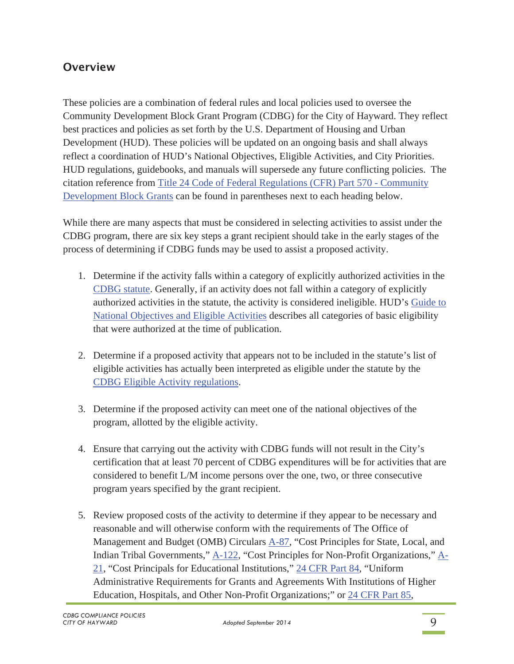### **Overview**

These policies are a combination of federal rules and local policies used to oversee the Community Development Block Grant Program (CDBG) for the City of Hayward. They reflect best practices and policies as set forth by the U.S. Department of Housing and Urban Development (HUD). These policies will be updated on an ongoing basis and shall always reflect a coordination of HUD's National Objectives, Eligible Activities, and City Priorities. HUD regulations, guidebooks, and manuals will supersede any future conflicting policies. The citation reference from Title 24 Code of Federal Regulations (CFR) Part 570 - Community Development Block Grants can be found in parentheses next to each heading below.

While there are many aspects that must be considered in selecting activities to assist under the CDBG program, there are six key steps a grant recipient should take in the early stages of the process of determining if CDBG funds may be used to assist a proposed activity.

- 1. Determine if the activity falls within a category of explicitly authorized activities in the CDBG statute. Generally, if an activity does not fall within a category of explicitly authorized activities in the statute, the activity is considered ineligible. HUD's Guide to National Objectives and Eligible Activities describes all categories of basic eligibility that were authorized at the time of publication.
- 2. Determine if a proposed activity that appears not to be included in the statute's list of eligible activities has actually been interpreted as eligible under the statute by the CDBG Eligible Activity regulations.
- 3. Determine if the proposed activity can meet one of the national objectives of the program, allotted by the eligible activity.
- 4. Ensure that carrying out the activity with CDBG funds will not result in the City's certification that at least 70 percent of CDBG expenditures will be for activities that are considered to benefit L/M income persons over the one, two, or three consecutive program years specified by the grant recipient.
- 5. Review proposed costs of the activity to determine if they appear to be necessary and reasonable and will otherwise conform with the requirements of The Office of Management and Budget (OMB) Circulars A-87, "Cost Principles for State, Local, and Indian Tribal Governments," A-122, "Cost Principles for Non-Profit Organizations," A-21, "Cost Principals for Educational Institutions," 24 CFR Part 84, "Uniform Administrative Requirements for Grants and Agreements With Institutions of Higher Education, Hospitals, and Other Non-Profit Organizations;" or 24 CFR Part 85,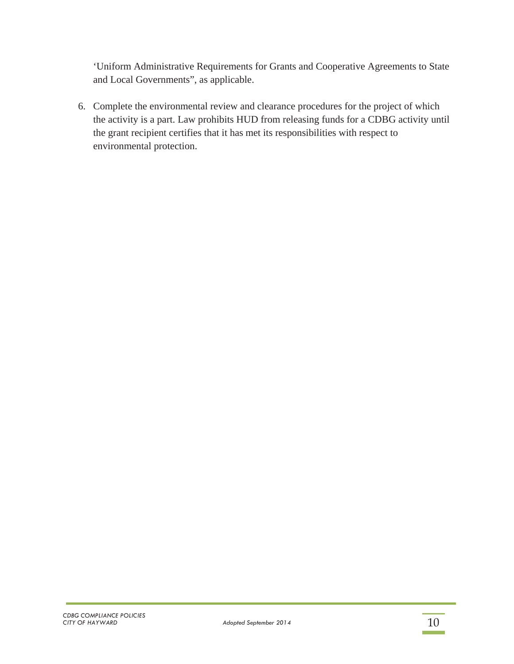'Uniform Administrative Requirements for Grants and Cooperative Agreements to State and Local Governments", as applicable.

6. Complete the environmental review and clearance procedures for the project of which the activity is a part. Law prohibits HUD from releasing funds for a CDBG activity until the grant recipient certifies that it has met its responsibilities with respect to environmental protection.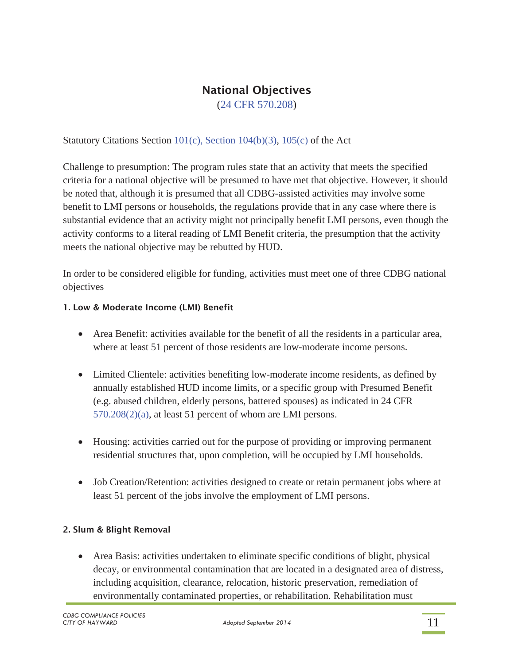### National Objectives

(24 CFR 570.208)

Statutory Citations Section 101(c), Section 104(b)(3), 105(c) of the Act

Challenge to presumption: The program rules state that an activity that meets the specified criteria for a national objective will be presumed to have met that objective. However, it should be noted that, although it is presumed that all CDBG-assisted activities may involve some benefit to LMI persons or households, the regulations provide that in any case where there is substantial evidence that an activity might not principally benefit LMI persons, even though the activity conforms to a literal reading of LMI Benefit criteria, the presumption that the activity meets the national objective may be rebutted by HUD.

In order to be considered eligible for funding, activities must meet one of three CDBG national objectives

#### 1. Low & Moderate Income (LMI) Benefit

- Area Benefit: activities available for the benefit of all the residents in a particular area, where at least 51 percent of those residents are low-moderate income persons.
- Limited Clientele: activities benefiting low-moderate income residents, as defined by annually established HUD income limits, or a specific group with Presumed Benefit (e.g. abused children, elderly persons, battered spouses) as indicated in 24 CFR 570.208(2)(a), at least 51 percent of whom are LMI persons.
- Housing: activities carried out for the purpose of providing or improving permanent residential structures that, upon completion, will be occupied by LMI households.
- Job Creation/Retention: activities designed to create or retain permanent jobs where at least 51 percent of the jobs involve the employment of LMI persons.

#### 2. Slum & Blight Removal

 $\bullet$  Area Basis: activities undertaken to eliminate specific conditions of blight, physical decay, or environmental contamination that are located in a designated area of distress, including acquisition, clearance, relocation, historic preservation, remediation of environmentally contaminated properties, or rehabilitation. Rehabilitation must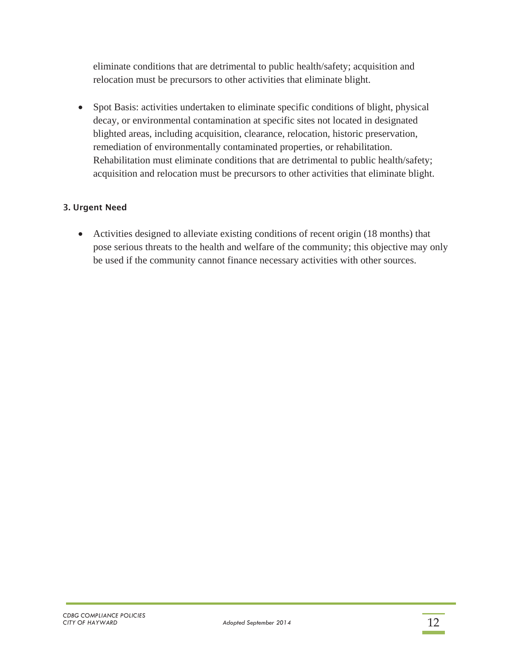eliminate conditions that are detrimental to public health/safety; acquisition and relocation must be precursors to other activities that eliminate blight.

• Spot Basis: activities undertaken to eliminate specific conditions of blight, physical decay, or environmental contamination at specific sites not located in designated blighted areas, including acquisition, clearance, relocation, historic preservation, remediation of environmentally contaminated properties, or rehabilitation. Rehabilitation must eliminate conditions that are detrimental to public health/safety; acquisition and relocation must be precursors to other activities that eliminate blight.

#### 3. Urgent Need

 $\bullet$  Activities designed to alleviate existing conditions of recent origin (18 months) that pose serious threats to the health and welfare of the community; this objective may only be used if the community cannot finance necessary activities with other sources.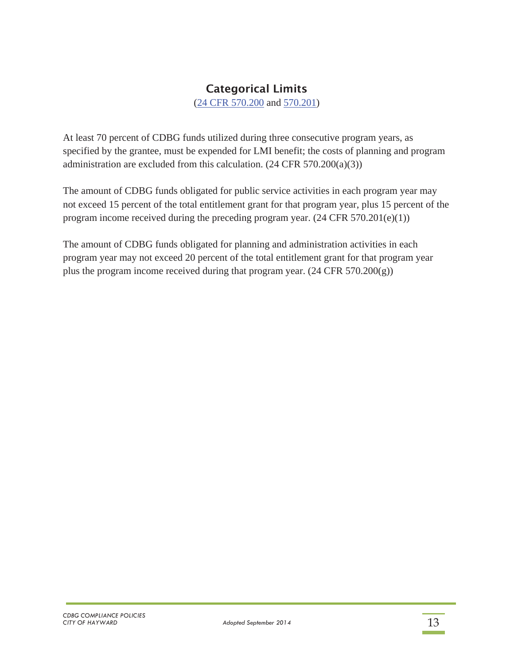### Categorical Limits

(24 CFR 570.200 and 570.201)

At least 70 percent of CDBG funds utilized during three consecutive program years, as specified by the grantee, must be expended for LMI benefit; the costs of planning and program administration are excluded from this calculation. (24 CFR 570.200(a)(3))

The amount of CDBG funds obligated for public service activities in each program year may not exceed 15 percent of the total entitlement grant for that program year, plus 15 percent of the program income received during the preceding program year. (24 CFR 570.201(e)(1))

The amount of CDBG funds obligated for planning and administration activities in each program year may not exceed 20 percent of the total entitlement grant for that program year plus the program income received during that program year. (24 CFR 570.200(g))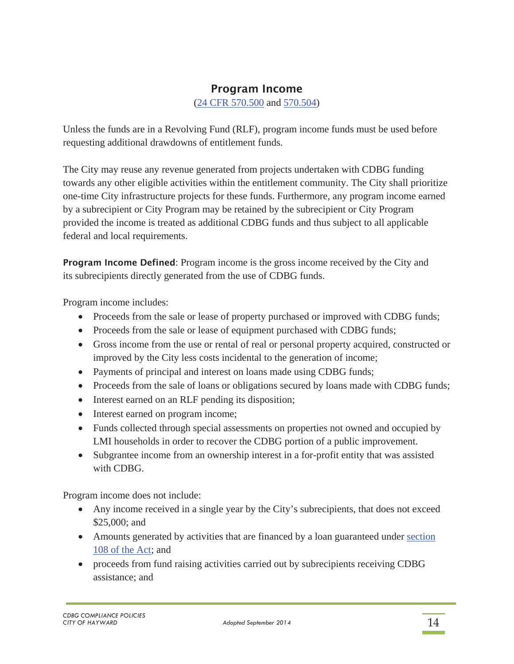#### Program Income

(24 CFR 570.500 and 570.504)

Unless the funds are in a Revolving Fund (RLF), program income funds must be used before requesting additional drawdowns of entitlement funds.

The City may reuse any revenue generated from projects undertaken with CDBG funding towards any other eligible activities within the entitlement community. The City shall prioritize one-time City infrastructure projects for these funds. Furthermore, any program income earned by a subrecipient or City Program may be retained by the subrecipient or City Program provided the income is treated as additional CDBG funds and thus subject to all applicable federal and local requirements.

**Program Income Defined:** Program income is the gross income received by the City and its subrecipients directly generated from the use of CDBG funds.

Program income includes:

- Proceeds from the sale or lease of property purchased or improved with CDBG funds;
- Proceeds from the sale or lease of equipment purchased with CDBG funds;
- Gross income from the use or rental of real or personal property acquired, constructed or improved by the City less costs incidental to the generation of income;
- Payments of principal and interest on loans made using CDBG funds;
- Proceeds from the sale of loans or obligations secured by loans made with CDBG funds;
- Interest earned on an RLF pending its disposition;
- Interest earned on program income;
- Funds collected through special assessments on properties not owned and occupied by LMI households in order to recover the CDBG portion of a public improvement.
- Subgrantee income from an ownership interest in a for-profit entity that was assisted with CDBG.

Program income does not include:

- Any income received in a single year by the City's subrecipients, that does not exceed \$25,000; and
- Amounts generated by activities that are financed by a loan guaranteed under section 108 of the Act; and
- proceeds from fund raising activities carried out by subrecipients receiving CDBG assistance; and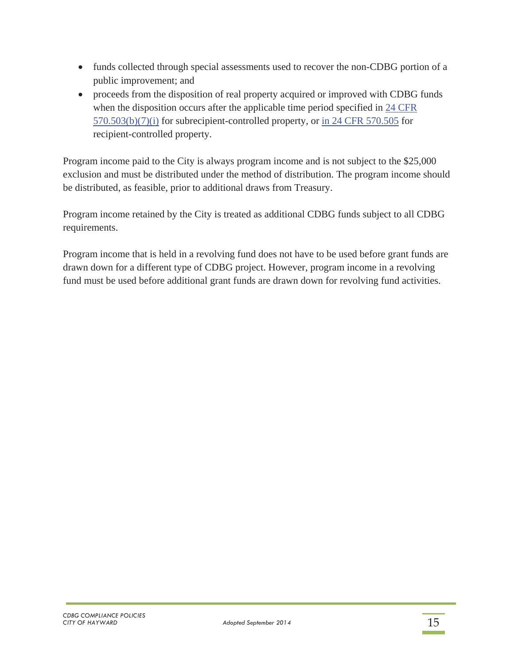- funds collected through special assessments used to recover the non-CDBG portion of a public improvement; and
- proceeds from the disposition of real property acquired or improved with CDBG funds when the disposition occurs after the applicable time period specified in 24 CFR  $570.503(b)(7)(i)$  for subrecipient-controlled property, or in 24 CFR 570.505 for recipient-controlled property.

Program income paid to the City is always program income and is not subject to the \$25,000 exclusion and must be distributed under the method of distribution. The program income should be distributed, as feasible, prior to additional draws from Treasury.

Program income retained by the City is treated as additional CDBG funds subject to all CDBG requirements.

Program income that is held in a revolving fund does not have to be used before grant funds are drawn down for a different type of CDBG project. However, program income in a revolving fund must be used before additional grant funds are drawn down for revolving fund activities.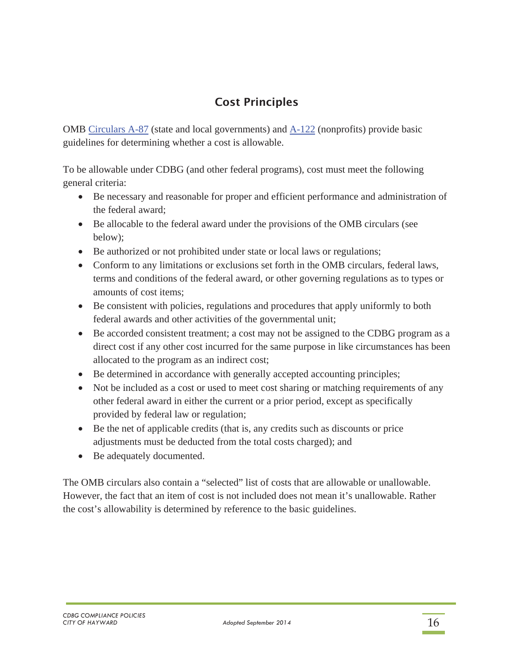# Cost Principles

OMB Circulars A-87 (state and local governments) and A-122 (nonprofits) provide basic guidelines for determining whether a cost is allowable.

To be allowable under CDBG (and other federal programs), cost must meet the following general criteria:

- Be necessary and reasonable for proper and efficient performance and administration of the federal award;
- Be allocable to the federal award under the provisions of the OMB circulars (see below);
- Be authorized or not prohibited under state or local laws or regulations;
- Conform to any limitations or exclusions set forth in the OMB circulars, federal laws, terms and conditions of the federal award, or other governing regulations as to types or amounts of cost items;
- Be consistent with policies, regulations and procedures that apply uniformly to both federal awards and other activities of the governmental unit;
- $\bullet$  Be accorded consistent treatment; a cost may not be assigned to the CDBG program as a direct cost if any other cost incurred for the same purpose in like circumstances has been allocated to the program as an indirect cost;
- $\bullet$  Be determined in accordance with generally accepted accounting principles;
- Not be included as a cost or used to meet cost sharing or matching requirements of any other federal award in either the current or a prior period, except as specifically provided by federal law or regulation;
- $\bullet$  Be the net of applicable credits (that is, any credits such as discounts or price adjustments must be deducted from the total costs charged); and
- Be adequately documented.

The OMB circulars also contain a "selected" list of costs that are allowable or unallowable. However, the fact that an item of cost is not included does not mean it's unallowable. Rather the cost's allowability is determined by reference to the basic guidelines.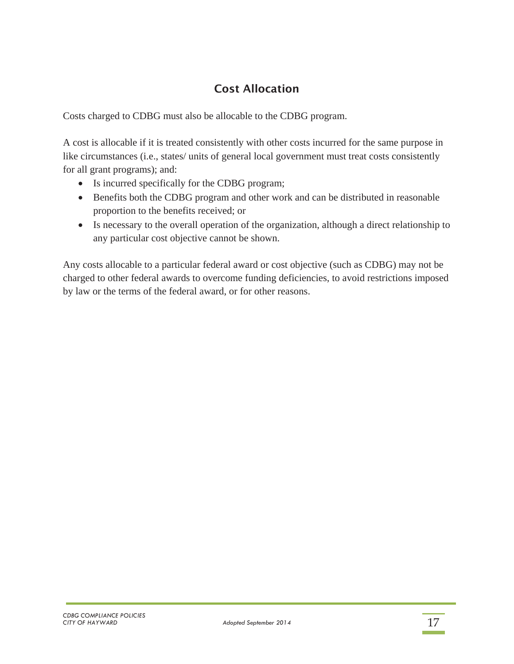# Cost Allocation

Costs charged to CDBG must also be allocable to the CDBG program.

A cost is allocable if it is treated consistently with other costs incurred for the same purpose in like circumstances (i.e., states/ units of general local government must treat costs consistently for all grant programs); and:

- Is incurred specifically for the CDBG program;
- Benefits both the CDBG program and other work and can be distributed in reasonable proportion to the benefits received; or
- Is necessary to the overall operation of the organization, although a direct relationship to any particular cost objective cannot be shown.

Any costs allocable to a particular federal award or cost objective (such as CDBG) may not be charged to other federal awards to overcome funding deficiencies, to avoid restrictions imposed by law or the terms of the federal award, or for other reasons.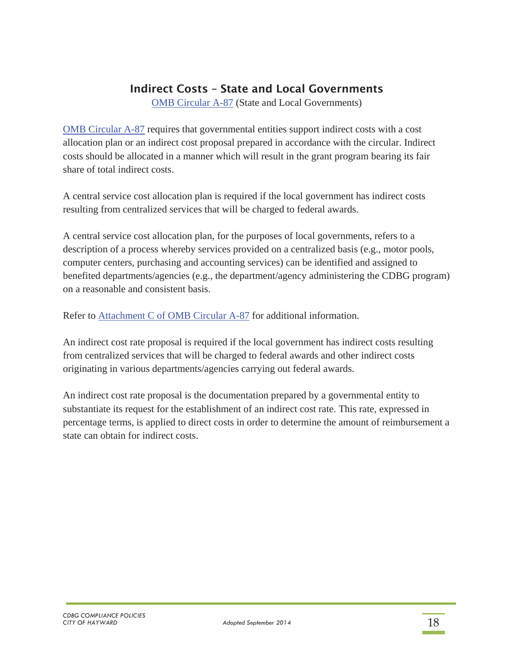### Indirect Costs – State and Local Governments

OMB Circular A-87 (State and Local Governments)

OMB Circular A-87 requires that governmental entities support indirect costs with a cost allocation plan or an indirect cost proposal prepared in accordance with the circular. Indirect costs should be allocated in a manner which will result in the grant program bearing its fair share of total indirect costs.

A central service cost allocation plan is required if the local government has indirect costs resulting from centralized services that will be charged to federal awards.

A central service cost allocation plan, for the purposes of local governments, refers to a description of a process whereby services provided on a centralized basis (e.g., motor pools, computer centers, purchasing and accounting services) can be identified and assigned to benefited departments/agencies (e.g., the department/agency administering the CDBG program) on a reasonable and consistent basis.

Refer to Attachment C of OMB Circular A-87 for additional information.

An indirect cost rate proposal is required if the local government has indirect costs resulting from centralized services that will be charged to federal awards and other indirect costs originating in various departments/agencies carrying out federal awards.

An indirect cost rate proposal is the documentation prepared by a governmental entity to substantiate its request for the establishment of an indirect cost rate. This rate, expressed in percentage terms, is applied to direct costs in order to determine the amount of reimbursement a state can obtain for indirect costs.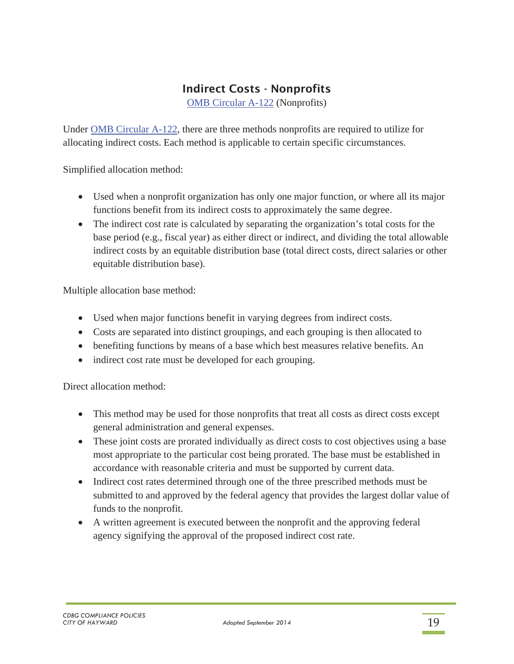## Indirect Costs - Nonprofits

OMB Circular A-122 (Nonprofits)

Under OMB Circular A-122, there are three methods nonprofits are required to utilize for allocating indirect costs. Each method is applicable to certain specific circumstances.

Simplified allocation method:

- Used when a nonprofit organization has only one major function, or where all its major functions benefit from its indirect costs to approximately the same degree.
- The indirect cost rate is calculated by separating the organization's total costs for the base period (e.g., fiscal year) as either direct or indirect, and dividing the total allowable indirect costs by an equitable distribution base (total direct costs, direct salaries or other equitable distribution base).

Multiple allocation base method:

- Used when major functions benefit in varying degrees from indirect costs.
- Costs are separated into distinct groupings, and each grouping is then allocated to
- benefiting functions by means of a base which best measures relative benefits. An
- indirect cost rate must be developed for each grouping.

Direct allocation method:

- This method may be used for those nonprofits that treat all costs as direct costs except general administration and general expenses.
- These joint costs are prorated individually as direct costs to cost objectives using a base most appropriate to the particular cost being prorated. The base must be established in accordance with reasonable criteria and must be supported by current data.
- Indirect cost rates determined through one of the three prescribed methods must be submitted to and approved by the federal agency that provides the largest dollar value of funds to the nonprofit.
- A written agreement is executed between the nonprofit and the approving federal agency signifying the approval of the proposed indirect cost rate.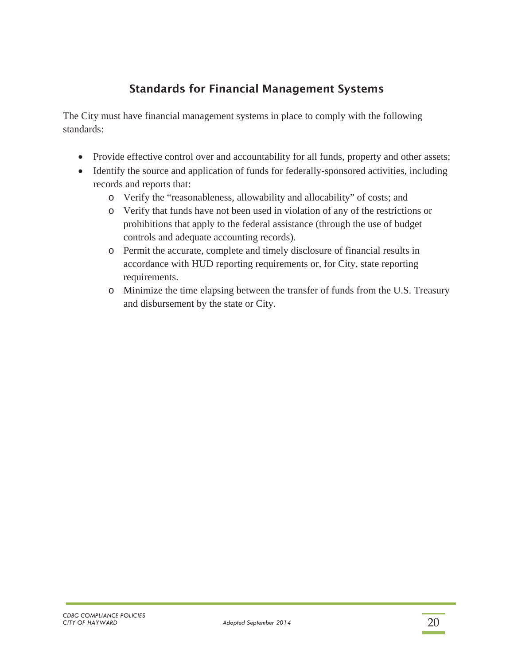# Standards for Financial Management Systems

The City must have financial management systems in place to comply with the following standards:

- Provide effective control over and accountability for all funds, property and other assets;
- Identify the source and application of funds for federally-sponsored activities, including records and reports that:
	- o Verify the "reasonableness, allowability and allocability" of costs; and
	- o Verify that funds have not been used in violation of any of the restrictions or prohibitions that apply to the federal assistance (through the use of budget controls and adequate accounting records).
	- o Permit the accurate, complete and timely disclosure of financial results in accordance with HUD reporting requirements or, for City, state reporting requirements.
	- o Minimize the time elapsing between the transfer of funds from the U.S. Treasury and disbursement by the state or City.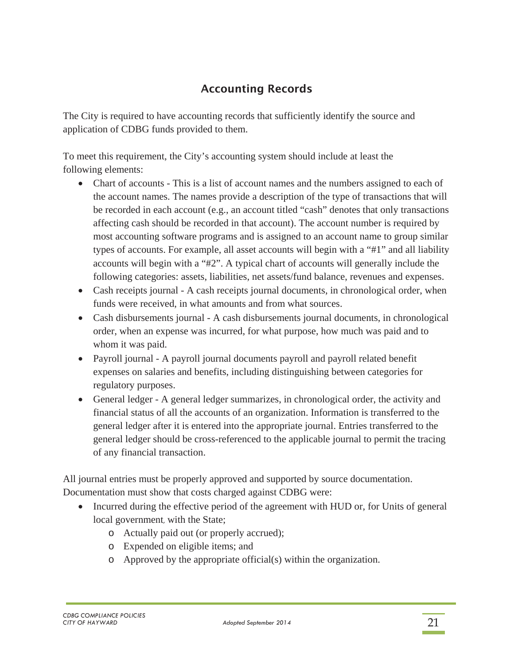# Accounting Records

The City is required to have accounting records that sufficiently identify the source and application of CDBG funds provided to them.

To meet this requirement, the City's accounting system should include at least the following elements:

- Chart of accounts This is a list of account names and the numbers assigned to each of the account names. The names provide a description of the type of transactions that will be recorded in each account (e.g., an account titled "cash" denotes that only transactions affecting cash should be recorded in that account). The account number is required by most accounting software programs and is assigned to an account name to group similar types of accounts. For example, all asset accounts will begin with a "#1" and all liability accounts will begin with a "#2". A typical chart of accounts will generally include the following categories: assets, liabilities, net assets/fund balance, revenues and expenses.
- Cash receipts journal A cash receipts journal documents, in chronological order, when funds were received, in what amounts and from what sources.
- Cash disbursements journal A cash disbursements journal documents, in chronological order, when an expense was incurred, for what purpose, how much was paid and to whom it was paid.
- Payroll journal A payroll journal documents payroll and payroll related benefit expenses on salaries and benefits, including distinguishing between categories for regulatory purposes.
- General ledger A general ledger summarizes, in chronological order, the activity and financial status of all the accounts of an organization. Information is transferred to the general ledger after it is entered into the appropriate journal. Entries transferred to the general ledger should be cross-referenced to the applicable journal to permit the tracing of any financial transaction.

All journal entries must be properly approved and supported by source documentation. Documentation must show that costs charged against CDBG were:

- Incurred during the effective period of the agreement with HUD or, for Units of general local government, with the State;
	- o Actually paid out (or properly accrued);
	- o Expended on eligible items; and
	- o Approved by the appropriate official(s) within the organization.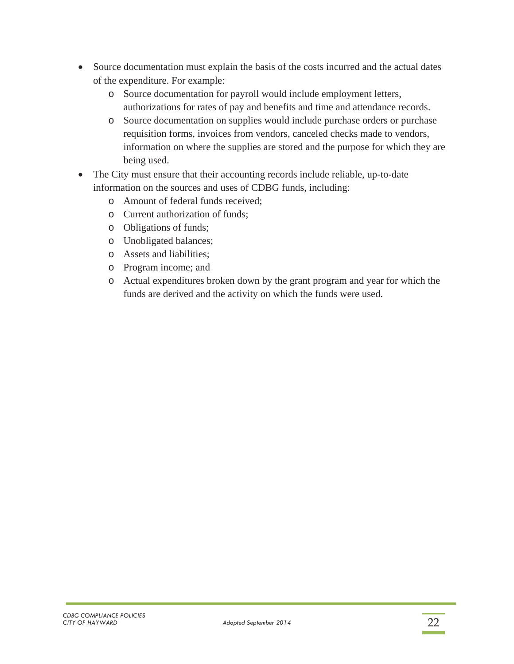- Source documentation must explain the basis of the costs incurred and the actual dates of the expenditure. For example:
	- o Source documentation for payroll would include employment letters, authorizations for rates of pay and benefits and time and attendance records.
	- o Source documentation on supplies would include purchase orders or purchase requisition forms, invoices from vendors, canceled checks made to vendors, information on where the supplies are stored and the purpose for which they are being used.
- The City must ensure that their accounting records include reliable, up-to-date information on the sources and uses of CDBG funds, including:
	- o Amount of federal funds received;
	- o Current authorization of funds;
	- o Obligations of funds;
	- o Unobligated balances;
	- o Assets and liabilities;
	- o Program income; and
	- o Actual expenditures broken down by the grant program and year for which the funds are derived and the activity on which the funds were used.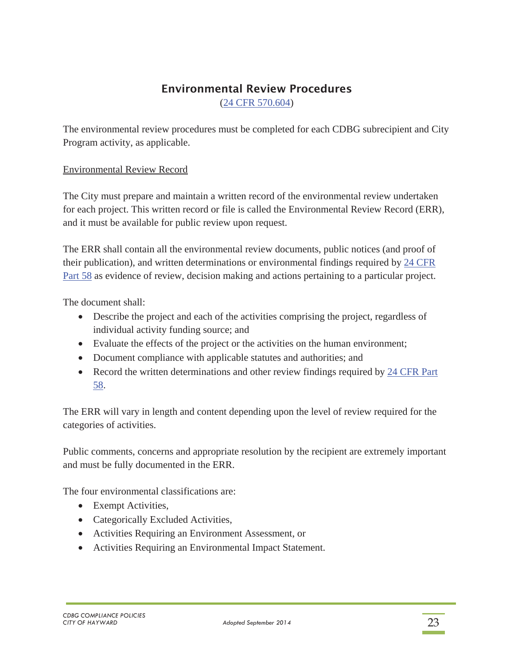### Environmental Review Procedures

(24 CFR 570.604)

The environmental review procedures must be completed for each CDBG subrecipient and City Program activity, as applicable.

#### Environmental Review Record

The City must prepare and maintain a written record of the environmental review undertaken for each project. This written record or file is called the Environmental Review Record (ERR), and it must be available for public review upon request.

The ERR shall contain all the environmental review documents, public notices (and proof of their publication), and written determinations or environmental findings required by 24 CFR Part 58 as evidence of review, decision making and actions pertaining to a particular project.

The document shall:

- Describe the project and each of the activities comprising the project, regardless of individual activity funding source; and
- Evaluate the effects of the project or the activities on the human environment;
- Document compliance with applicable statutes and authorities; and
- Record the written determinations and other review findings required by 24 CFR Part 58.

The ERR will vary in length and content depending upon the level of review required for the categories of activities.

Public comments, concerns and appropriate resolution by the recipient are extremely important and must be fully documented in the ERR.

The four environmental classifications are:

- Exempt Activities,
- Categorically Excluded Activities,
- Activities Requiring an Environment Assessment, or
- Activities Requiring an Environmental Impact Statement.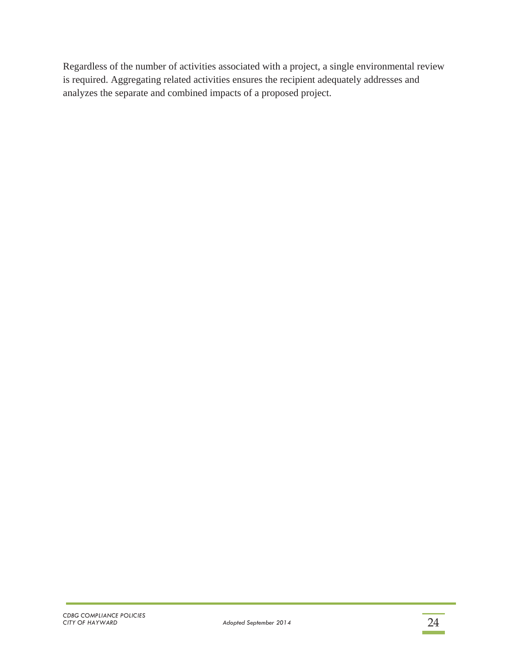Regardless of the number of activities associated with a project, a single environmental review is required. Aggregating related activities ensures the recipient adequately addresses and analyzes the separate and combined impacts of a proposed project.

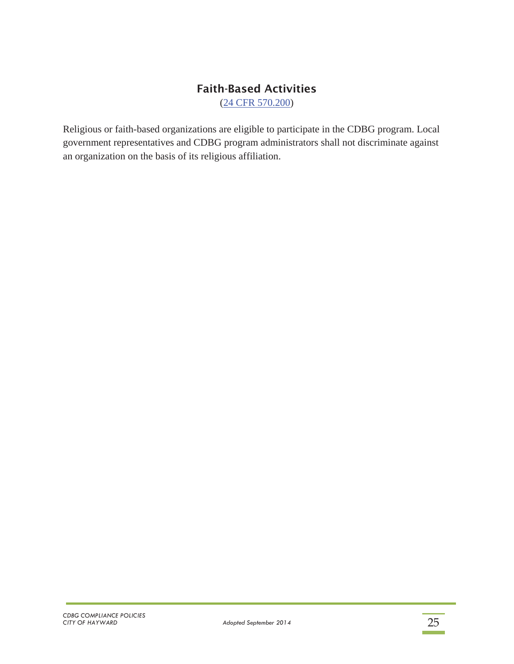## Faith-Based Activities

(24 CFR 570.200)

Religious or faith-based organizations are eligible to participate in the CDBG program. Local government representatives and CDBG program administrators shall not discriminate against an organization on the basis of its religious affiliation.

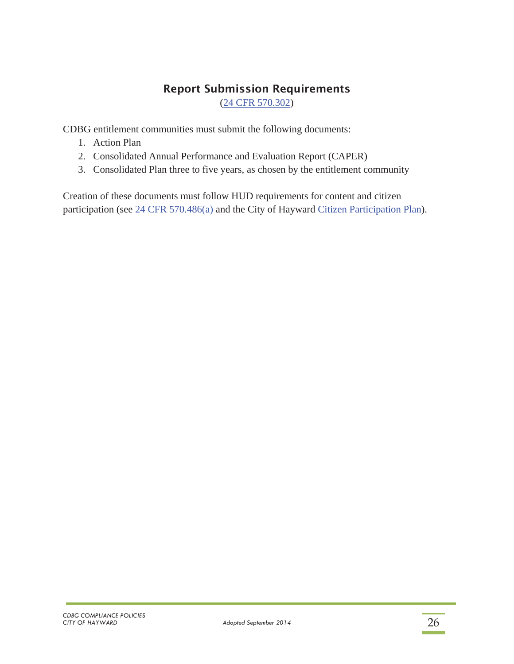### Report Submission Requirements

(24 CFR 570.302)

CDBG entitlement communities must submit the following documents:

- 1. Action Plan
- 2. Consolidated Annual Performance and Evaluation Report (CAPER)
- 3. Consolidated Plan three to five years, as chosen by the entitlement community

Creation of these documents must follow HUD requirements for content and citizen participation (see 24 CFR 570.486(a) and the City of Hayward Citizen Participation Plan).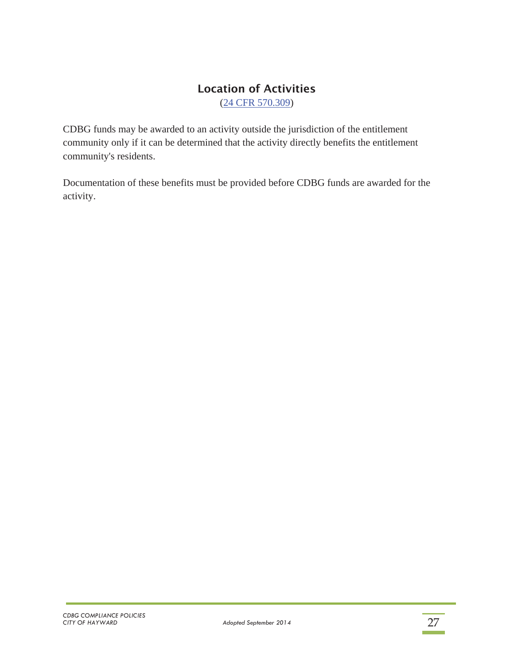### Location of Activities

(24 CFR 570.309)

CDBG funds may be awarded to an activity outside the jurisdiction of the entitlement community only if it can be determined that the activity directly benefits the entitlement community's residents.

Documentation of these benefits must be provided before CDBG funds are awarded for the activity.

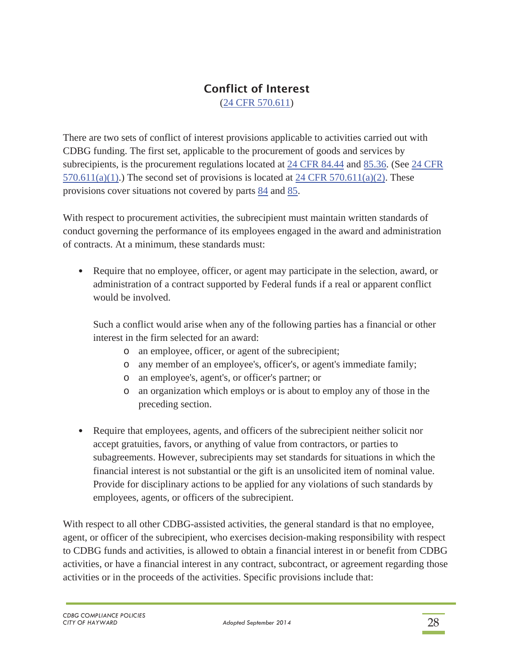### Conflict of Interest

(24 CFR 570.611)

There are two sets of conflict of interest provisions applicable to activities carried out with CDBG funding. The first set, applicable to the procurement of goods and services by subrecipients, is the procurement regulations located at 24 CFR 84.44 and 85.36. (See 24 CFR  $570.611(a)(1)$ .) The second set of provisions is located at  $24$  CFR  $570.611(a)(2)$ . These provisions cover situations not covered by parts 84 and 85.

With respect to procurement activities, the subrecipient must maintain written standards of conduct governing the performance of its employees engaged in the award and administration of contracts. At a minimum, these standards must:

• Require that no employee, officer, or agent may participate in the selection, award, or administration of a contract supported by Federal funds if a real or apparent conflict would be involved.

Such a conflict would arise when any of the following parties has a financial or other interest in the firm selected for an award:

- o an employee, officer, or agent of the subrecipient;
- o any member of an employee's, officer's, or agent's immediate family;
- o an employee's, agent's, or officer's partner; or
- o an organization which employs or is about to employ any of those in the preceding section.
- Require that employees, agents, and officers of the subrecipient neither solicit nor accept gratuities, favors, or anything of value from contractors, or parties to subagreements. However, subrecipients may set standards for situations in which the financial interest is not substantial or the gift is an unsolicited item of nominal value. Provide for disciplinary actions to be applied for any violations of such standards by employees, agents, or officers of the subrecipient.

With respect to all other CDBG-assisted activities, the general standard is that no employee, agent, or officer of the subrecipient, who exercises decision-making responsibility with respect to CDBG funds and activities, is allowed to obtain a financial interest in or benefit from CDBG activities, or have a financial interest in any contract, subcontract, or agreement regarding those activities or in the proceeds of the activities. Specific provisions include that: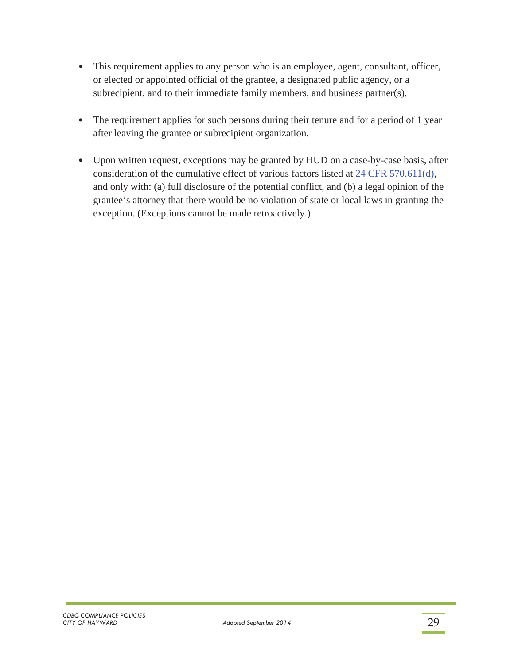- This requirement applies to any person who is an employee, agent, consultant, officer, or elected or appointed official of the grantee, a designated public agency, or a subrecipient, and to their immediate family members, and business partner(s).
- The requirement applies for such persons during their tenure and for a period of 1 year after leaving the grantee or subrecipient organization.
- Upon written request, exceptions may be granted by HUD on a case-by-case basis, after consideration of the cumulative effect of various factors listed at 24 CFR 570.611(d), and only with: (a) full disclosure of the potential conflict, and (b) a legal opinion of the grantee's attorney that there would be no violation of state or local laws in granting the exception. (Exceptions cannot be made retroactively.)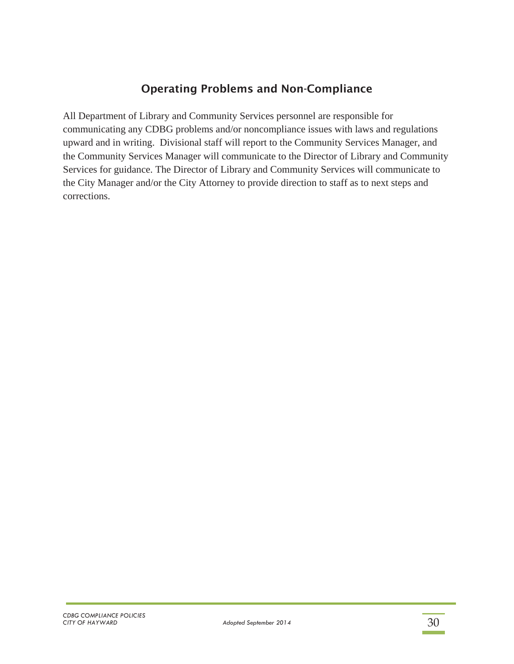## Operating Problems and Non-Compliance

All Department of Library and Community Services personnel are responsible for communicating any CDBG problems and/or noncompliance issues with laws and regulations upward and in writing. Divisional staff will report to the Community Services Manager, and the Community Services Manager will communicate to the Director of Library and Community Services for guidance. The Director of Library and Community Services will communicate to the City Manager and/or the City Attorney to provide direction to staff as to next steps and corrections.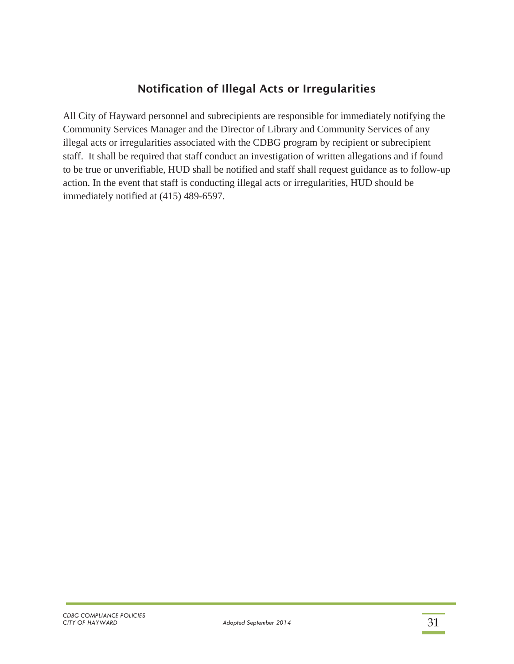## Notification of Illegal Acts or Irregularities

All City of Hayward personnel and subrecipients are responsible for immediately notifying the Community Services Manager and the Director of Library and Community Services of any illegal acts or irregularities associated with the CDBG program by recipient or subrecipient staff. It shall be required that staff conduct an investigation of written allegations and if found to be true or unverifiable, HUD shall be notified and staff shall request guidance as to follow-up action. In the event that staff is conducting illegal acts or irregularities, HUD should be immediately notified at (415) 489-6597.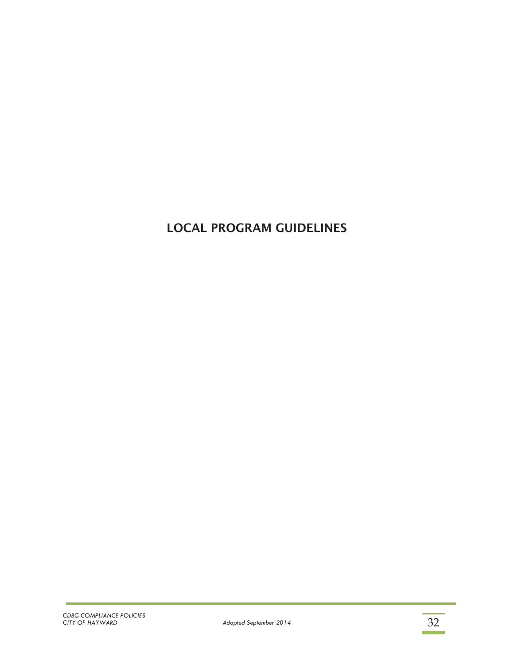# LOCAL PROGRAM GUIDELINES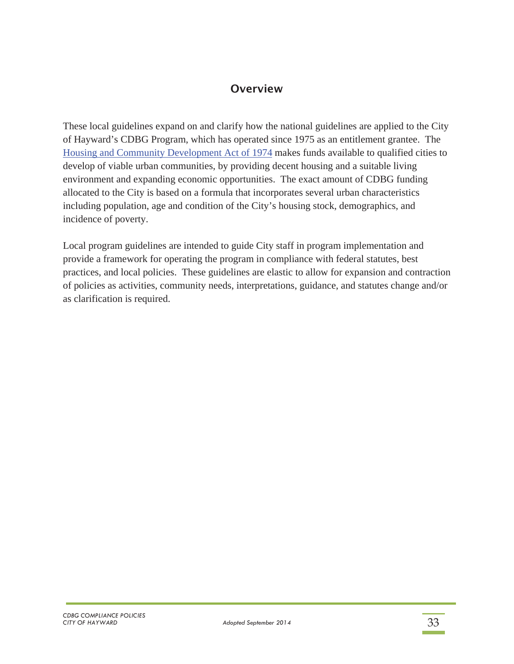### **Overview**

These local guidelines expand on and clarify how the national guidelines are applied to the City of Hayward's CDBG Program, which has operated since 1975 as an entitlement grantee. The Housing and Community Development Act of 1974 makes funds available to qualified cities to develop of viable urban communities, by providing decent housing and a suitable living environment and expanding economic opportunities. The exact amount of CDBG funding allocated to the City is based on a formula that incorporates several urban characteristics including population, age and condition of the City's housing stock, demographics, and incidence of poverty.

Local program guidelines are intended to guide City staff in program implementation and provide a framework for operating the program in compliance with federal statutes, best practices, and local policies. These guidelines are elastic to allow for expansion and contraction of policies as activities, community needs, interpretations, guidance, and statutes change and/or as clarification is required.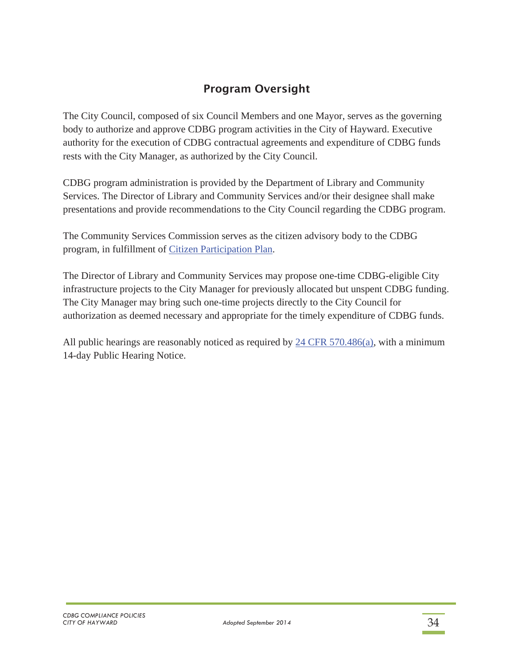# Program Oversight

The City Council, composed of six Council Members and one Mayor, serves as the governing body to authorize and approve CDBG program activities in the City of Hayward. Executive authority for the execution of CDBG contractual agreements and expenditure of CDBG funds rests with the City Manager, as authorized by the City Council.

CDBG program administration is provided by the Department of Library and Community Services. The Director of Library and Community Services and/or their designee shall make presentations and provide recommendations to the City Council regarding the CDBG program.

The Community Services Commission serves as the citizen advisory body to the CDBG program, in fulfillment of Citizen Participation Plan.

The Director of Library and Community Services may propose one-time CDBG-eligible City infrastructure projects to the City Manager for previously allocated but unspent CDBG funding. The City Manager may bring such one-time projects directly to the City Council for authorization as deemed necessary and appropriate for the timely expenditure of CDBG funds.

All public hearings are reasonably noticed as required by  $24$  CFR 570.486(a), with a minimum 14-day Public Hearing Notice.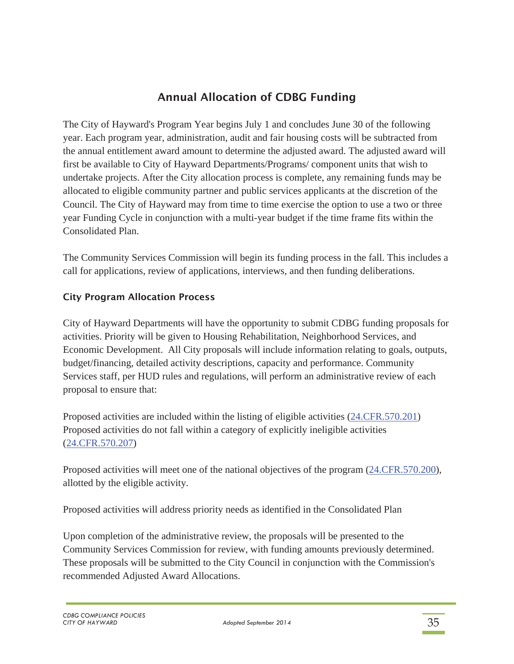# Annual Allocation of CDBG Funding

The City of Hayward's Program Year begins July 1 and concludes June 30 of the following year. Each program year, administration, audit and fair housing costs will be subtracted from the annual entitlement award amount to determine the adjusted award. The adjusted award will first be available to City of Hayward Departments/Programs/ component units that wish to undertake projects. After the City allocation process is complete, any remaining funds may be allocated to eligible community partner and public services applicants at the discretion of the Council. The City of Hayward may from time to time exercise the option to use a two or three year Funding Cycle in conjunction with a multi-year budget if the time frame fits within the Consolidated Plan.

The Community Services Commission will begin its funding process in the fall. This includes a call for applications, review of applications, interviews, and then funding deliberations.

#### City Program Allocation Process

City of Hayward Departments will have the opportunity to submit CDBG funding proposals for activities. Priority will be given to Housing Rehabilitation, Neighborhood Services, and Economic Development. All City proposals will include information relating to goals, outputs, budget/financing, detailed activity descriptions, capacity and performance. Community Services staff, per HUD rules and regulations, will perform an administrative review of each proposal to ensure that:

Proposed activities are included within the listing of eligible activities (24.CFR.570.201) Proposed activities do not fall within a category of explicitly ineligible activities (24.CFR.570.207)

Proposed activities will meet one of the national objectives of the program (24.CFR.570.200), allotted by the eligible activity.

Proposed activities will address priority needs as identified in the Consolidated Plan

Upon completion of the administrative review, the proposals will be presented to the Community Services Commission for review, with funding amounts previously determined. These proposals will be submitted to the City Council in conjunction with the Commission's recommended Adjusted Award Allocations.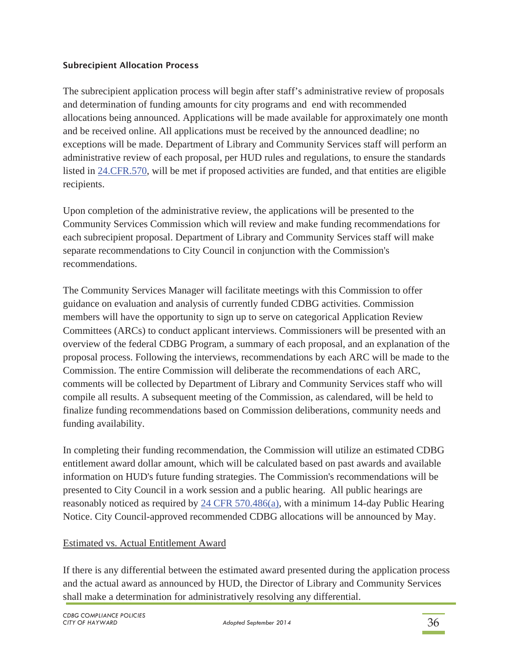#### Subrecipient Allocation Process

The subrecipient application process will begin after staff's administrative review of proposals and determination of funding amounts for city programs and end with recommended allocations being announced. Applications will be made available for approximately one month and be received online. All applications must be received by the announced deadline; no exceptions will be made. Department of Library and Community Services staff will perform an administrative review of each proposal, per HUD rules and regulations, to ensure the standards listed in 24.CFR.570, will be met if proposed activities are funded, and that entities are eligible recipients.

Upon completion of the administrative review, the applications will be presented to the Community Services Commission which will review and make funding recommendations for each subrecipient proposal. Department of Library and Community Services staff will make separate recommendations to City Council in conjunction with the Commission's recommendations.

The Community Services Manager will facilitate meetings with this Commission to offer guidance on evaluation and analysis of currently funded CDBG activities. Commission members will have the opportunity to sign up to serve on categorical Application Review Committees (ARCs) to conduct applicant interviews. Commissioners will be presented with an overview of the federal CDBG Program, a summary of each proposal, and an explanation of the proposal process. Following the interviews, recommendations by each ARC will be made to the Commission. The entire Commission will deliberate the recommendations of each ARC, comments will be collected by Department of Library and Community Services staff who will compile all results. A subsequent meeting of the Commission, as calendared, will be held to finalize funding recommendations based on Commission deliberations, community needs and funding availability.

In completing their funding recommendation, the Commission will utilize an estimated CDBG entitlement award dollar amount, which will be calculated based on past awards and available information on HUD's future funding strategies. The Commission's recommendations will be presented to City Council in a work session and a public hearing. All public hearings are reasonably noticed as required by 24 CFR 570.486(a), with a minimum 14-day Public Hearing Notice. City Council-approved recommended CDBG allocations will be announced by May.

#### Estimated vs. Actual Entitlement Award

If there is any differential between the estimated award presented during the application process and the actual award as announced by HUD, the Director of Library and Community Services shall make a determination for administratively resolving any differential.

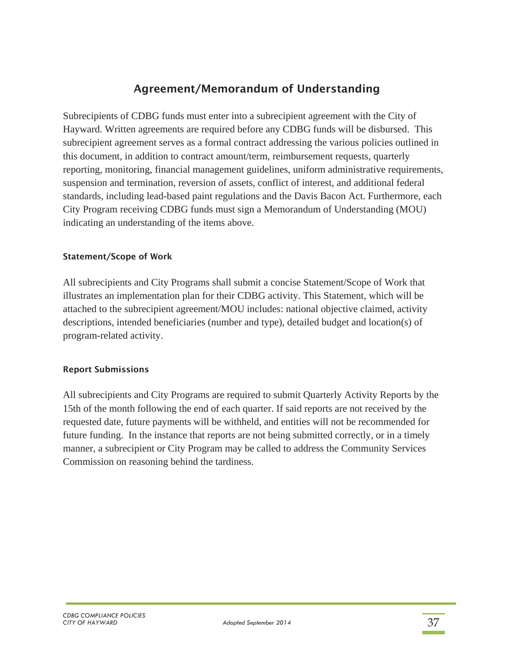### Agreement/Memorandum of Understanding

Subrecipients of CDBG funds must enter into a subrecipient agreement with the City of Hayward. Written agreements are required before any CDBG funds will be disbursed. This subrecipient agreement serves as a formal contract addressing the various policies outlined in this document, in addition to contract amount/term, reimbursement requests, quarterly reporting, monitoring, financial management guidelines, uniform administrative requirements, suspension and termination, reversion of assets, conflict of interest, and additional federal standards, including lead-based paint regulations and the Davis Bacon Act. Furthermore, each City Program receiving CDBG funds must sign a Memorandum of Understanding (MOU) indicating an understanding of the items above.

#### Statement/Scope of Work

All subrecipients and City Programs shall submit a concise Statement/Scope of Work that illustrates an implementation plan for their CDBG activity. This Statement, which will be attached to the subrecipient agreement/MOU includes: national objective claimed, activity descriptions, intended beneficiaries (number and type), detailed budget and location(s) of program-related activity.

#### Report Submissions

All subrecipients and City Programs are required to submit Quarterly Activity Reports by the 15th of the month following the end of each quarter. If said reports are not received by the requested date, future payments will be withheld, and entities will not be recommended for future funding. In the instance that reports are not being submitted correctly, or in a timely manner, a subrecipient or City Program may be called to address the Community Services Commission on reasoning behind the tardiness.

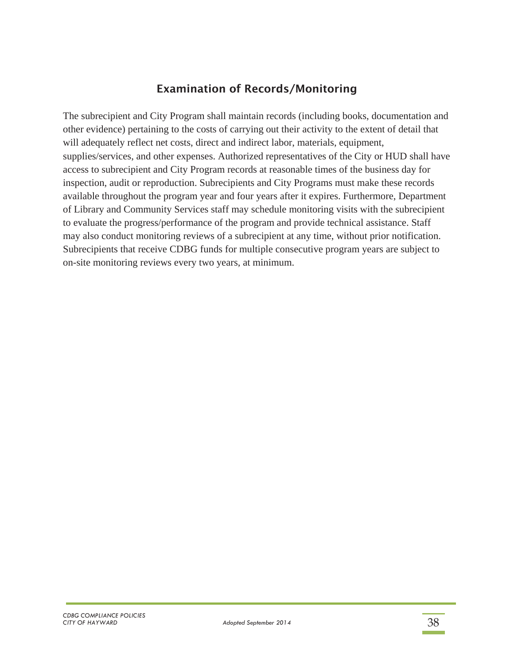### Examination of Records/Monitoring

The subrecipient and City Program shall maintain records (including books, documentation and other evidence) pertaining to the costs of carrying out their activity to the extent of detail that will adequately reflect net costs, direct and indirect labor, materials, equipment, supplies/services, and other expenses. Authorized representatives of the City or HUD shall have access to subrecipient and City Program records at reasonable times of the business day for inspection, audit or reproduction. Subrecipients and City Programs must make these records available throughout the program year and four years after it expires. Furthermore, Department of Library and Community Services staff may schedule monitoring visits with the subrecipient to evaluate the progress/performance of the program and provide technical assistance. Staff may also conduct monitoring reviews of a subrecipient at any time, without prior notification. Subrecipients that receive CDBG funds for multiple consecutive program years are subject to on-site monitoring reviews every two years, at minimum.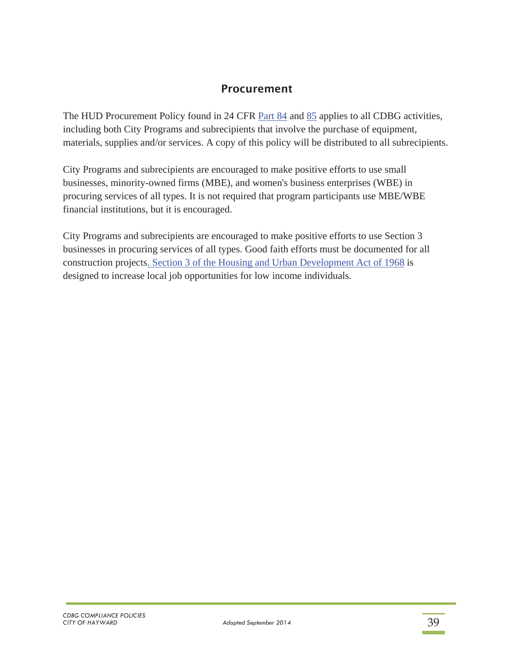#### Procurement

The HUD Procurement Policy found in 24 CFR Part 84 and 85 applies to all CDBG activities, including both City Programs and subrecipients that involve the purchase of equipment, materials, supplies and/or services. A copy of this policy will be distributed to all subrecipients.

City Programs and subrecipients are encouraged to make positive efforts to use small businesses, minority-owned firms (MBE), and women's business enterprises (WBE) in procuring services of all types. It is not required that program participants use MBE/WBE financial institutions, but it is encouraged.

City Programs and subrecipients are encouraged to make positive efforts to use Section 3 businesses in procuring services of all types. Good faith efforts must be documented for all construction projects. Section 3 of the Housing and Urban Development Act of 1968 is designed to increase local job opportunities for low income individuals.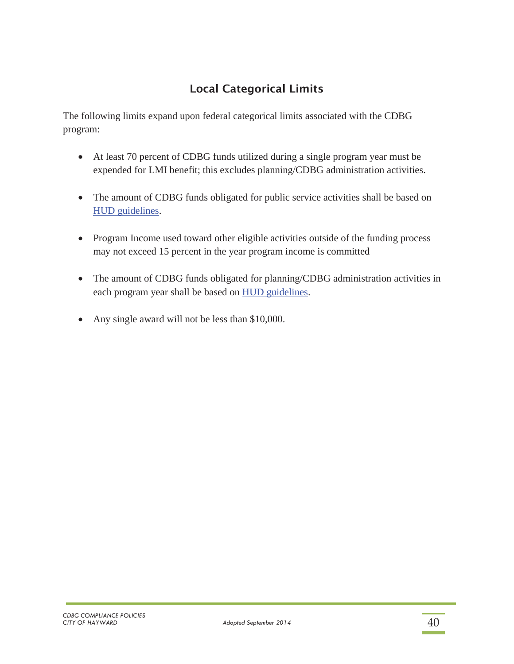# Local Categorical Limits

The following limits expand upon federal categorical limits associated with the CDBG program:

- At least 70 percent of CDBG funds utilized during a single program year must be expended for LMI benefit; this excludes planning/CDBG administration activities.
- The amount of CDBG funds obligated for public service activities shall be based on HUD guidelines.
- Program Income used toward other eligible activities outside of the funding process may not exceed 15 percent in the year program income is committed
- The amount of CDBG funds obligated for planning/CDBG administration activities in each program year shall be based on HUD guidelines.
- Any single award will not be less than  $$10,000$ .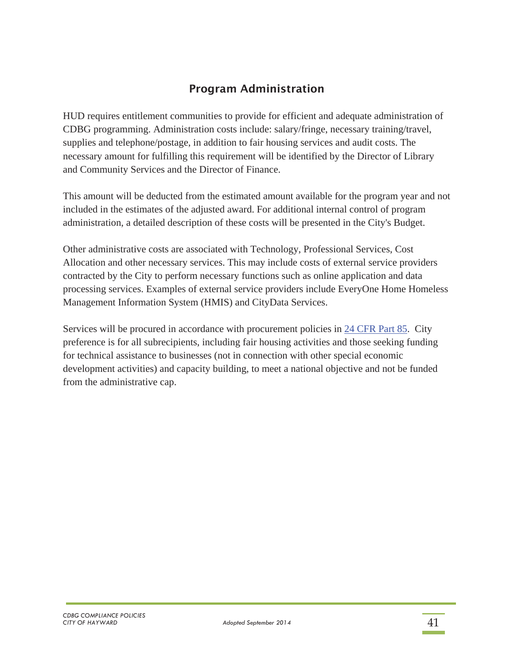## Program Administration

HUD requires entitlement communities to provide for efficient and adequate administration of CDBG programming. Administration costs include: salary/fringe, necessary training/travel, supplies and telephone/postage, in addition to fair housing services and audit costs. The necessary amount for fulfilling this requirement will be identified by the Director of Library and Community Services and the Director of Finance.

This amount will be deducted from the estimated amount available for the program year and not included in the estimates of the adjusted award. For additional internal control of program administration, a detailed description of these costs will be presented in the City's Budget.

Other administrative costs are associated with Technology, Professional Services, Cost Allocation and other necessary services. This may include costs of external service providers contracted by the City to perform necessary functions such as online application and data processing services. Examples of external service providers include EveryOne Home Homeless Management Information System (HMIS) and CityData Services.

Services will be procured in accordance with procurement policies in 24 CFR Part 85. City preference is for all subrecipients, including fair housing activities and those seeking funding for technical assistance to businesses (not in connection with other special economic development activities) and capacity building, to meet a national objective and not be funded from the administrative cap.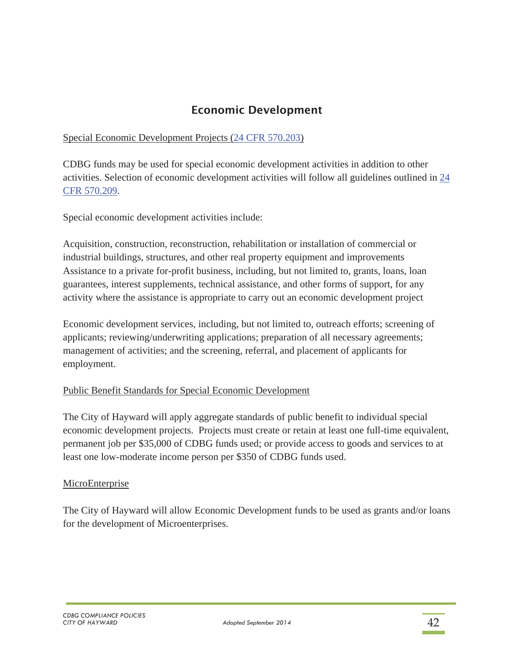## Economic Development

#### Special Economic Development Projects (24 CFR 570.203)

CDBG funds may be used for special economic development activities in addition to other activities. Selection of economic development activities will follow all guidelines outlined in 24 CFR 570.209.

Special economic development activities include:

Acquisition, construction, reconstruction, rehabilitation or installation of commercial or industrial buildings, structures, and other real property equipment and improvements Assistance to a private for-profit business, including, but not limited to, grants, loans, loan guarantees, interest supplements, technical assistance, and other forms of support, for any activity where the assistance is appropriate to carry out an economic development project

Economic development services, including, but not limited to, outreach efforts; screening of applicants; reviewing/underwriting applications; preparation of all necessary agreements; management of activities; and the screening, referral, and placement of applicants for employment.

#### Public Benefit Standards for Special Economic Development

The City of Hayward will apply aggregate standards of public benefit to individual special economic development projects. Projects must create or retain at least one full-time equivalent, permanent job per \$35,000 of CDBG funds used; or provide access to goods and services to at least one low-moderate income person per \$350 of CDBG funds used.

#### MicroEnterprise

The City of Hayward will allow Economic Development funds to be used as grants and/or loans for the development of Microenterprises.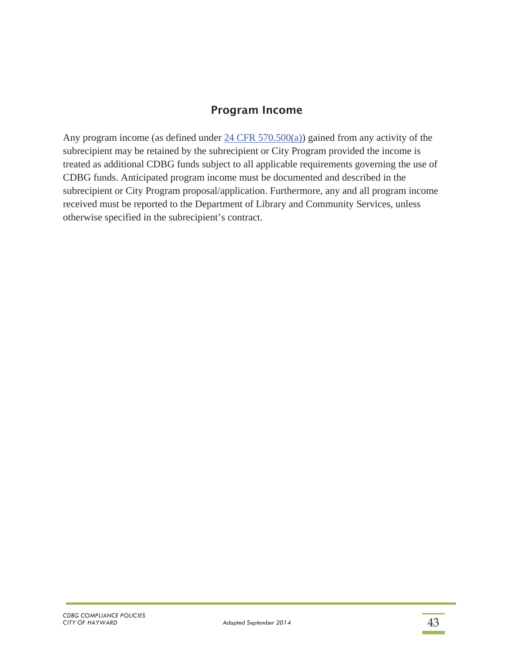#### Program Income

Any program income (as defined under  $24 \text{ CFR } 570.500(a)$ ) gained from any activity of the subrecipient may be retained by the subrecipient or City Program provided the income is treated as additional CDBG funds subject to all applicable requirements governing the use of CDBG funds. Anticipated program income must be documented and described in the subrecipient or City Program proposal/application. Furthermore, any and all program income received must be reported to the Department of Library and Community Services, unless otherwise specified in the subrecipient's contract.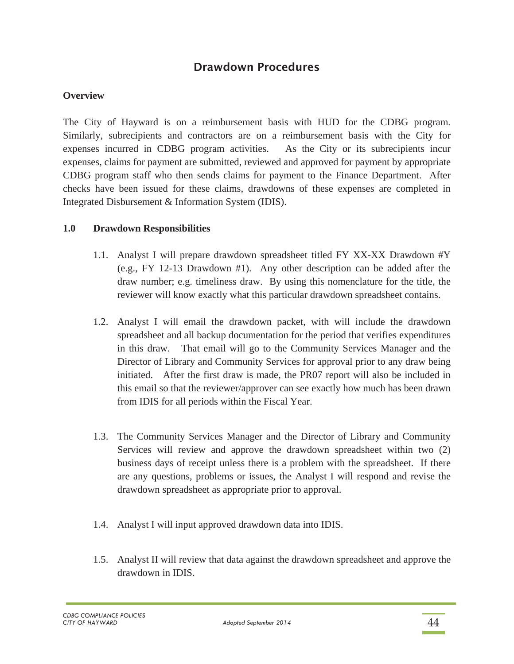#### Drawdown Procedures

#### **Overview**

The City of Hayward is on a reimbursement basis with HUD for the CDBG program. Similarly, subrecipients and contractors are on a reimbursement basis with the City for expenses incurred in CDBG program activities. As the City or its subrecipients incur expenses, claims for payment are submitted, reviewed and approved for payment by appropriate CDBG program staff who then sends claims for payment to the Finance Department. After checks have been issued for these claims, drawdowns of these expenses are completed in Integrated Disbursement & Information System (IDIS).

#### **1.0 Drawdown Responsibilities**

- 1.1. Analyst I will prepare drawdown spreadsheet titled FY XX-XX Drawdown #Y (e.g., FY 12-13 Drawdown #1). Any other description can be added after the draw number; e.g. timeliness draw. By using this nomenclature for the title, the reviewer will know exactly what this particular drawdown spreadsheet contains.
- 1.2. Analyst I will email the drawdown packet, with will include the drawdown spreadsheet and all backup documentation for the period that verifies expenditures in this draw. That email will go to the Community Services Manager and the Director of Library and Community Services for approval prior to any draw being initiated. After the first draw is made, the PR07 report will also be included in this email so that the reviewer/approver can see exactly how much has been drawn from IDIS for all periods within the Fiscal Year.
- 1.3. The Community Services Manager and the Director of Library and Community Services will review and approve the drawdown spreadsheet within two (2) business days of receipt unless there is a problem with the spreadsheet. If there are any questions, problems or issues, the Analyst I will respond and revise the drawdown spreadsheet as appropriate prior to approval.
- 1.4. Analyst I will input approved drawdown data into IDIS.
- 1.5. Analyst II will review that data against the drawdown spreadsheet and approve the drawdown in IDIS.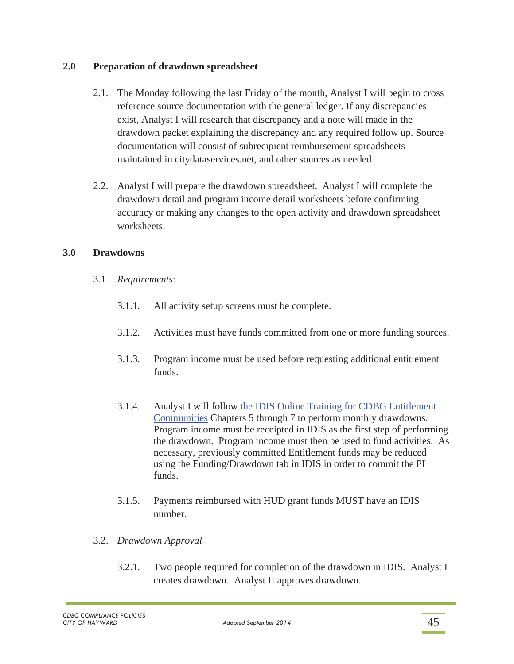#### **2.0 Preparation of drawdown spreadsheet**

- 2.1. The Monday following the last Friday of the month, Analyst I will begin to cross reference source documentation with the general ledger. If any discrepancies exist, Analyst I will research that discrepancy and a note will made in the drawdown packet explaining the discrepancy and any required follow up. Source documentation will consist of subrecipient reimbursement spreadsheets maintained in citydataservices.net, and other sources as needed.
- 2.2. Analyst I will prepare the drawdown spreadsheet. Analyst I will complete the drawdown detail and program income detail worksheets before confirming accuracy or making any changes to the open activity and drawdown spreadsheet worksheets.

#### **3.0 Drawdowns**

- 3.1. *Requirements*:
	- 3.1.1. All activity setup screens must be complete.
	- 3.1.2. Activities must have funds committed from one or more funding sources.
	- 3.1.3. Program income must be used before requesting additional entitlement funds.
	- 3.1.4. Analyst I will follow the IDIS Online Training for CDBG Entitlement Communities Chapters 5 through 7 to perform monthly drawdowns. Program income must be receipted in IDIS as the first step of performing the drawdown. Program income must then be used to fund activities. As necessary, previously committed Entitlement funds may be reduced using the Funding/Drawdown tab in IDIS in order to commit the PI funds.
	- 3.1.5. Payments reimbursed with HUD grant funds MUST have an IDIS number.

#### 3.2. *Drawdown Approval*

3.2.1. Two people required for completion of the drawdown in IDIS. Analyst I creates drawdown. Analyst II approves drawdown.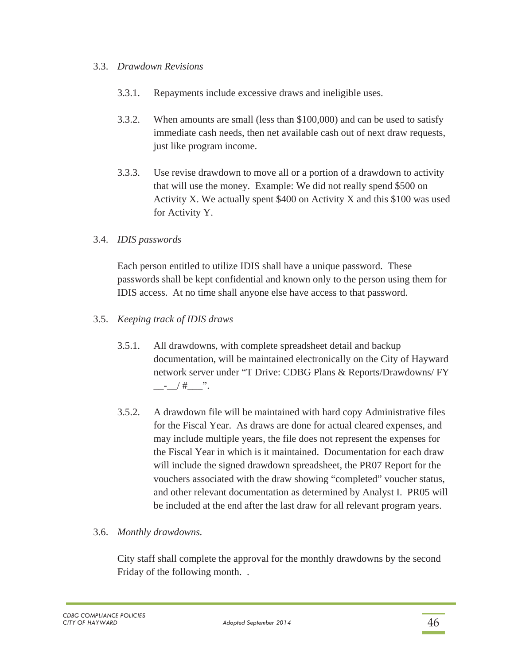#### 3.3. *Drawdown Revisions*

- 3.3.1. Repayments include excessive draws and ineligible uses.
- 3.3.2. When amounts are small (less than \$100,000) and can be used to satisfy immediate cash needs, then net available cash out of next draw requests, just like program income.
- 3.3.3. Use revise drawdown to move all or a portion of a drawdown to activity that will use the money. Example: We did not really spend \$500 on Activity X. We actually spent \$400 on Activity X and this \$100 was used for Activity Y.

#### 3.4. *IDIS passwords*

Each person entitled to utilize IDIS shall have a unique password. These passwords shall be kept confidential and known only to the person using them for IDIS access. At no time shall anyone else have access to that password.

#### 3.5. *Keeping track of IDIS draws*

- 3.5.1. All drawdowns, with complete spreadsheet detail and backup documentation, will be maintained electronically on the City of Hayward network server under "T Drive: CDBG Plans & Reports/Drawdowns/ FY  $\frac{1}{2}$  -  $\frac{1}{2}$  / #  $\frac{1}{2}$  .
- 3.5.2. A drawdown file will be maintained with hard copy Administrative files for the Fiscal Year. As draws are done for actual cleared expenses, and may include multiple years, the file does not represent the expenses for the Fiscal Year in which is it maintained. Documentation for each draw will include the signed drawdown spreadsheet, the PR07 Report for the vouchers associated with the draw showing "completed" voucher status, and other relevant documentation as determined by Analyst I. PR05 will be included at the end after the last draw for all relevant program years.

#### 3.6. *Monthly drawdowns.*

City staff shall complete the approval for the monthly drawdowns by the second Friday of the following month. .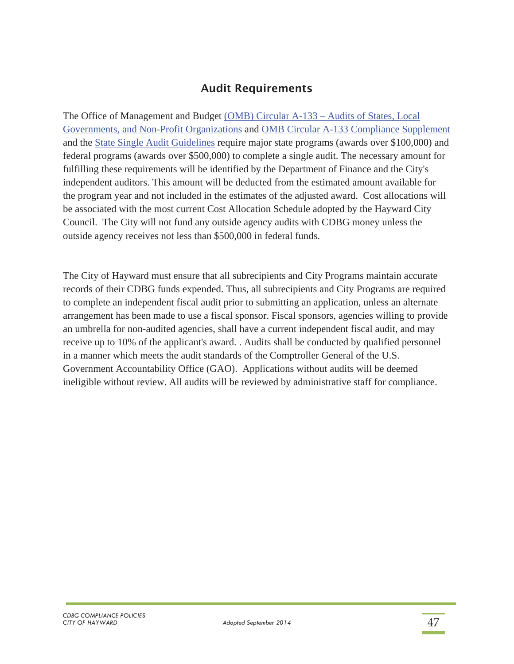### Audit Requirements

The Office of Management and Budget (OMB) Circular A-133 – Audits of States, Local Governments, and Non-Profit Organizations and OMB Circular A-133 Compliance Supplement and the State Single Audit Guidelines require major state programs (awards over \$100,000) and federal programs (awards over \$500,000) to complete a single audit. The necessary amount for fulfilling these requirements will be identified by the Department of Finance and the City's independent auditors. This amount will be deducted from the estimated amount available for the program year and not included in the estimates of the adjusted award. Cost allocations will be associated with the most current Cost Allocation Schedule adopted by the Hayward City Council. The City will not fund any outside agency audits with CDBG money unless the outside agency receives not less than \$500,000 in federal funds.

The City of Hayward must ensure that all subrecipients and City Programs maintain accurate records of their CDBG funds expended. Thus, all subrecipients and City Programs are required to complete an independent fiscal audit prior to submitting an application, unless an alternate arrangement has been made to use a fiscal sponsor. Fiscal sponsors, agencies willing to provide an umbrella for non-audited agencies, shall have a current independent fiscal audit, and may receive up to 10% of the applicant's award. . Audits shall be conducted by qualified personnel in a manner which meets the audit standards of the Comptroller General of the U.S. Government Accountability Office (GAO). Applications without audits will be deemed ineligible without review. All audits will be reviewed by administrative staff for compliance.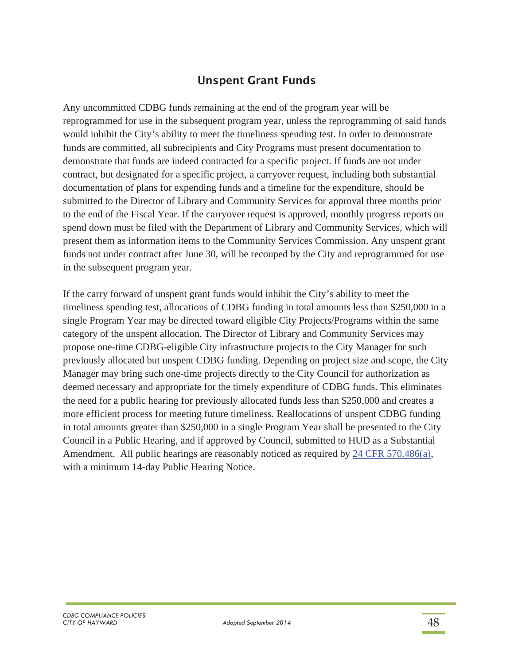### Unspent Grant Funds

Any uncommitted CDBG funds remaining at the end of the program year will be reprogrammed for use in the subsequent program year, unless the reprogramming of said funds would inhibit the City's ability to meet the timeliness spending test. In order to demonstrate funds are committed, all subrecipients and City Programs must present documentation to demonstrate that funds are indeed contracted for a specific project. If funds are not under contract, but designated for a specific project, a carryover request, including both substantial documentation of plans for expending funds and a timeline for the expenditure, should be submitted to the Director of Library and Community Services for approval three months prior to the end of the Fiscal Year. If the carryover request is approved, monthly progress reports on spend down must be filed with the Department of Library and Community Services, which will present them as information items to the Community Services Commission. Any unspent grant funds not under contract after June 30, will be recouped by the City and reprogrammed for use in the subsequent program year.

If the carry forward of unspent grant funds would inhibit the City's ability to meet the timeliness spending test, allocations of CDBG funding in total amounts less than \$250,000 in a single Program Year may be directed toward eligible City Projects/Programs within the same category of the unspent allocation. The Director of Library and Community Services may propose one-time CDBG-eligible City infrastructure projects to the City Manager for such previously allocated but unspent CDBG funding. Depending on project size and scope, the City Manager may bring such one-time projects directly to the City Council for authorization as deemed necessary and appropriate for the timely expenditure of CDBG funds. This eliminates the need for a public hearing for previously allocated funds less than \$250,000 and creates a more efficient process for meeting future timeliness. Reallocations of unspent CDBG funding in total amounts greater than \$250,000 in a single Program Year shall be presented to the City Council in a Public Hearing, and if approved by Council, submitted to HUD as a Substantial Amendment. All public hearings are reasonably noticed as required by 24 CFR 570.486(a), with a minimum 14-day Public Hearing Notice.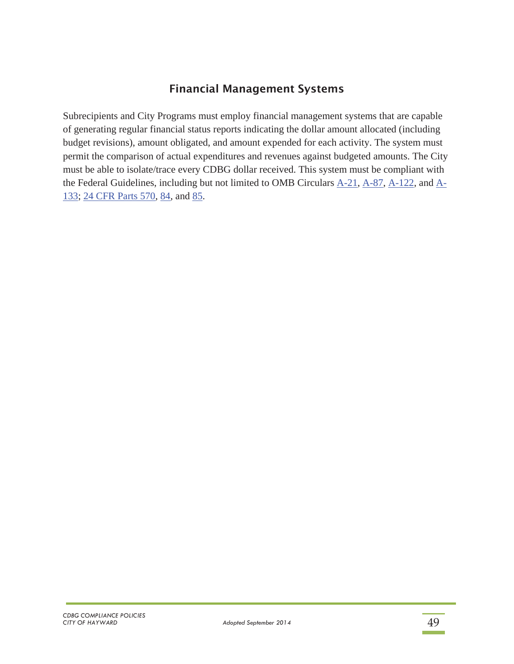### Financial Management Systems

Subrecipients and City Programs must employ financial management systems that are capable of generating regular financial status reports indicating the dollar amount allocated (including budget revisions), amount obligated, and amount expended for each activity. The system must permit the comparison of actual expenditures and revenues against budgeted amounts. The City must be able to isolate/trace every CDBG dollar received. This system must be compliant with the Federal Guidelines, including but not limited to OMB Circulars  $A-21$ ,  $A-87$ ,  $A-122$ , and  $A-$ 133; 24 CFR Parts 570, 84, and 85.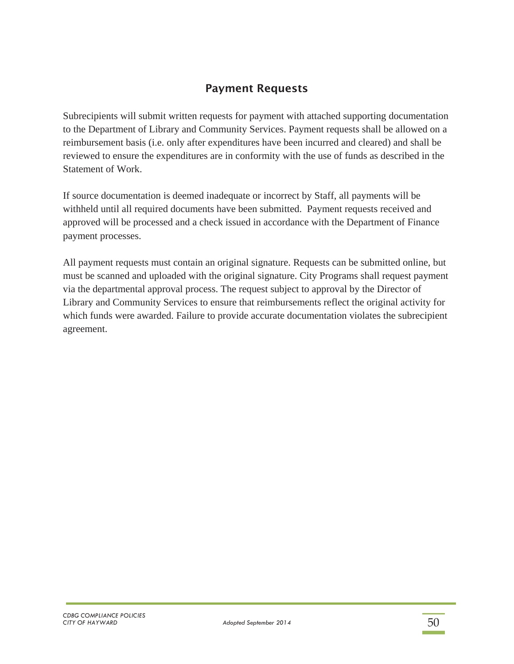### Payment Requests

Subrecipients will submit written requests for payment with attached supporting documentation to the Department of Library and Community Services. Payment requests shall be allowed on a reimbursement basis (i.e. only after expenditures have been incurred and cleared) and shall be reviewed to ensure the expenditures are in conformity with the use of funds as described in the Statement of Work.

If source documentation is deemed inadequate or incorrect by Staff, all payments will be withheld until all required documents have been submitted. Payment requests received and approved will be processed and a check issued in accordance with the Department of Finance payment processes.

All payment requests must contain an original signature. Requests can be submitted online, but must be scanned and uploaded with the original signature. City Programs shall request payment via the departmental approval process. The request subject to approval by the Director of Library and Community Services to ensure that reimbursements reflect the original activity for which funds were awarded. Failure to provide accurate documentation violates the subrecipient agreement.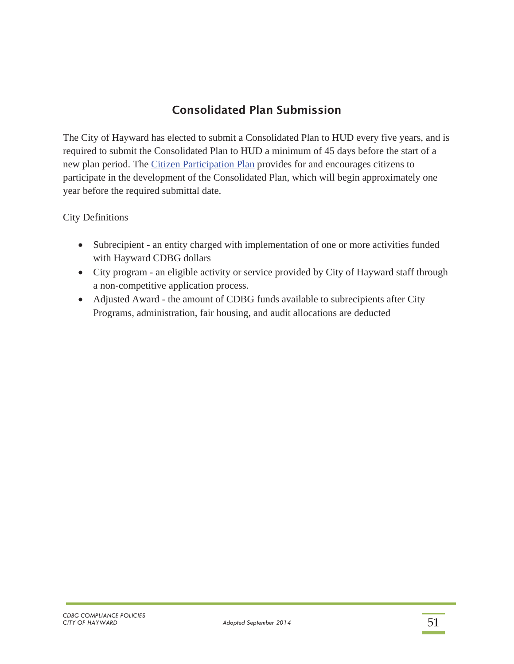# Consolidated Plan Submission

The City of Hayward has elected to submit a Consolidated Plan to HUD every five years, and is required to submit the Consolidated Plan to HUD a minimum of 45 days before the start of a new plan period. The Citizen Participation Plan provides for and encourages citizens to participate in the development of the Consolidated Plan, which will begin approximately one year before the required submittal date.

City Definitions

- Subrecipient an entity charged with implementation of one or more activities funded with Hayward CDBG dollars
- City program an eligible activity or service provided by City of Hayward staff through a non-competitive application process.
- Adjusted Award the amount of CDBG funds available to subrecipients after City Programs, administration, fair housing, and audit allocations are deducted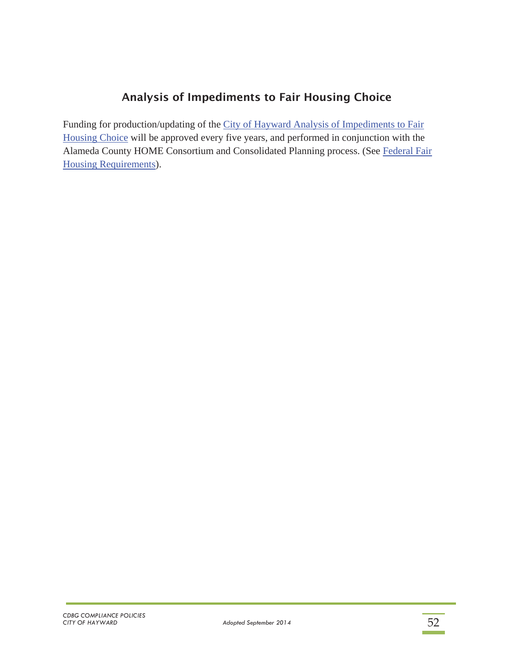# Analysis of Impediments to Fair Housing Choice

Funding for production/updating of the City of Hayward Analysis of Impediments to Fair Housing Choice will be approved every five years, and performed in conjunction with the Alameda County HOME Consortium and Consolidated Planning process. (See Federal Fair Housing Requirements).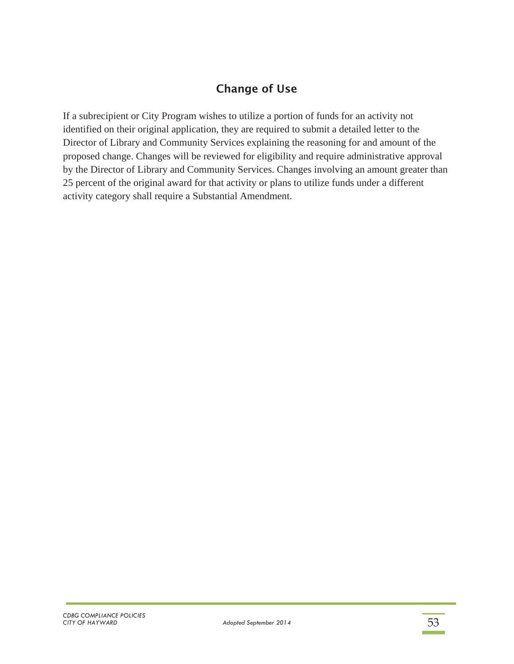# Change of Use

If a subrecipient or City Program wishes to utilize a portion of funds for an activity not identified on their original application, they are required to submit a detailed letter to the Director of Library and Community Services explaining the reasoning for and amount of the proposed change. Changes will be reviewed for eligibility and require administrative approval by the Director of Library and Community Services. Changes involving an amount greater than 25 percent of the original award for that activity or plans to utilize funds under a different activity category shall require a Substantial Amendment.

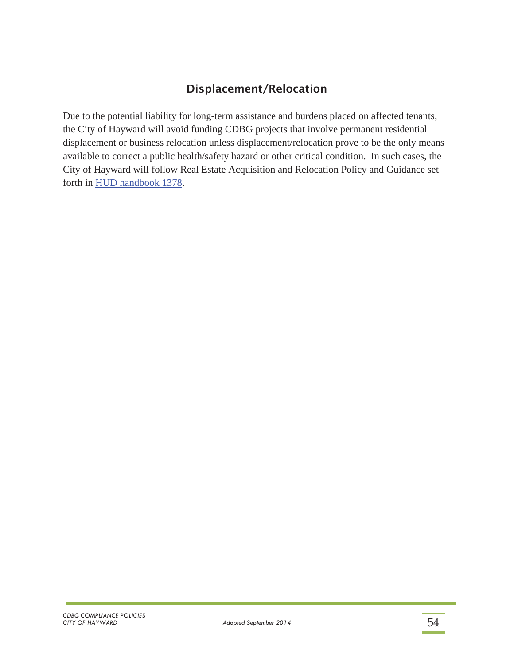## Displacement/Relocation

Due to the potential liability for long-term assistance and burdens placed on affected tenants, the City of Hayward will avoid funding CDBG projects that involve permanent residential displacement or business relocation unless displacement/relocation prove to be the only means available to correct a public health/safety hazard or other critical condition. In such cases, the City of Hayward will follow Real Estate Acquisition and Relocation Policy and Guidance set forth in HUD handbook 1378.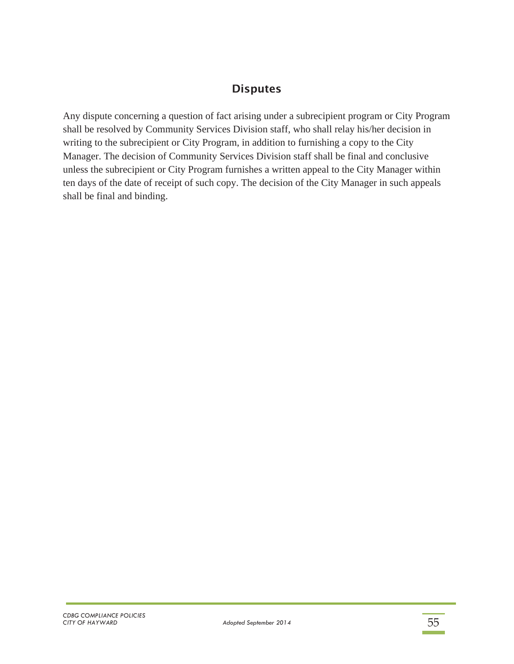### **Disputes**

Any dispute concerning a question of fact arising under a subrecipient program or City Program shall be resolved by Community Services Division staff, who shall relay his/her decision in writing to the subrecipient or City Program, in addition to furnishing a copy to the City Manager. The decision of Community Services Division staff shall be final and conclusive unless the subrecipient or City Program furnishes a written appeal to the City Manager within ten days of the date of receipt of such copy. The decision of the City Manager in such appeals shall be final and binding.

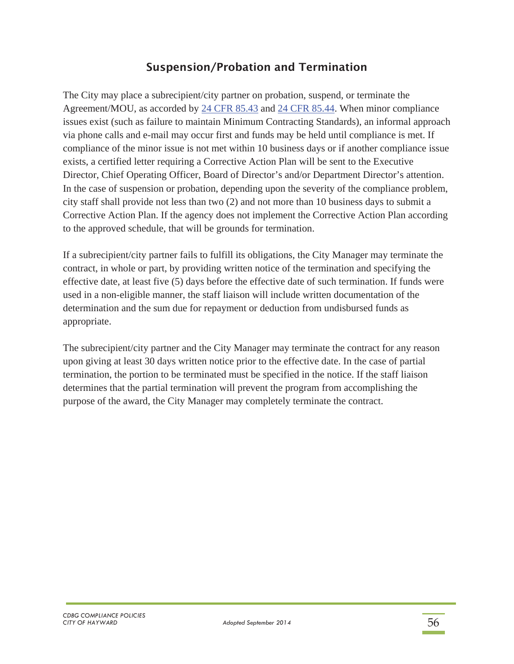### Suspension/Probation and Termination

The City may place a subrecipient/city partner on probation, suspend, or terminate the Agreement/MOU, as accorded by 24 CFR 85.43 and 24 CFR 85.44. When minor compliance issues exist (such as failure to maintain Minimum Contracting Standards), an informal approach via phone calls and e-mail may occur first and funds may be held until compliance is met. If compliance of the minor issue is not met within 10 business days or if another compliance issue exists, a certified letter requiring a Corrective Action Plan will be sent to the Executive Director, Chief Operating Officer, Board of Director's and/or Department Director's attention. In the case of suspension or probation, depending upon the severity of the compliance problem, city staff shall provide not less than two (2) and not more than 10 business days to submit a Corrective Action Plan. If the agency does not implement the Corrective Action Plan according to the approved schedule, that will be grounds for termination.

If a subrecipient/city partner fails to fulfill its obligations, the City Manager may terminate the contract, in whole or part, by providing written notice of the termination and specifying the effective date, at least five (5) days before the effective date of such termination. If funds were used in a non-eligible manner, the staff liaison will include written documentation of the determination and the sum due for repayment or deduction from undisbursed funds as appropriate.

The subrecipient/city partner and the City Manager may terminate the contract for any reason upon giving at least 30 days written notice prior to the effective date. In the case of partial termination, the portion to be terminated must be specified in the notice. If the staff liaison determines that the partial termination will prevent the program from accomplishing the purpose of the award, the City Manager may completely terminate the contract.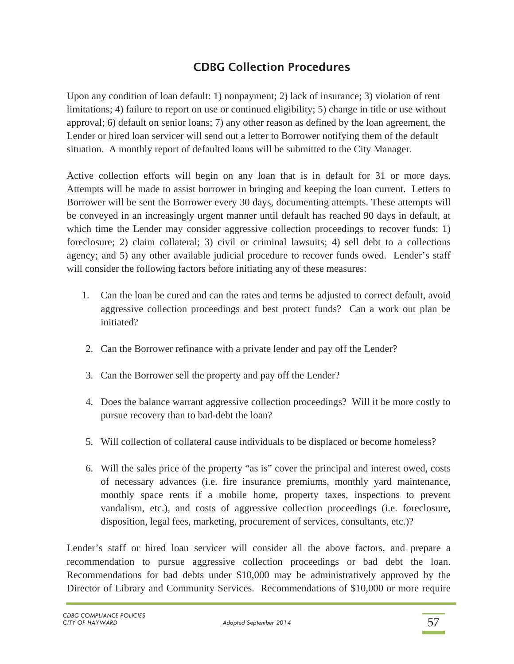## CDBG Collection Procedures

Upon any condition of loan default: 1) nonpayment; 2) lack of insurance; 3) violation of rent limitations; 4) failure to report on use or continued eligibility; 5) change in title or use without approval; 6) default on senior loans; 7) any other reason as defined by the loan agreement, the Lender or hired loan servicer will send out a letter to Borrower notifying them of the default situation. A monthly report of defaulted loans will be submitted to the City Manager.

Active collection efforts will begin on any loan that is in default for 31 or more days. Attempts will be made to assist borrower in bringing and keeping the loan current. Letters to Borrower will be sent the Borrower every 30 days, documenting attempts. These attempts will be conveyed in an increasingly urgent manner until default has reached 90 days in default, at which time the Lender may consider aggressive collection proceedings to recover funds: 1) foreclosure; 2) claim collateral; 3) civil or criminal lawsuits; 4) sell debt to a collections agency; and 5) any other available judicial procedure to recover funds owed. Lender's staff will consider the following factors before initiating any of these measures:

- 1. Can the loan be cured and can the rates and terms be adjusted to correct default, avoid aggressive collection proceedings and best protect funds? Can a work out plan be initiated?
- 2. Can the Borrower refinance with a private lender and pay off the Lender?
- 3. Can the Borrower sell the property and pay off the Lender?
- 4. Does the balance warrant aggressive collection proceedings? Will it be more costly to pursue recovery than to bad-debt the loan?
- 5. Will collection of collateral cause individuals to be displaced or become homeless?
- 6. Will the sales price of the property "as is" cover the principal and interest owed, costs of necessary advances (i.e. fire insurance premiums, monthly yard maintenance, monthly space rents if a mobile home, property taxes, inspections to prevent vandalism, etc.), and costs of aggressive collection proceedings (i.e. foreclosure, disposition, legal fees, marketing, procurement of services, consultants, etc.)?

Lender's staff or hired loan servicer will consider all the above factors, and prepare a recommendation to pursue aggressive collection proceedings or bad debt the loan. Recommendations for bad debts under \$10,000 may be administratively approved by the Director of Library and Community Services. Recommendations of \$10,000 or more require

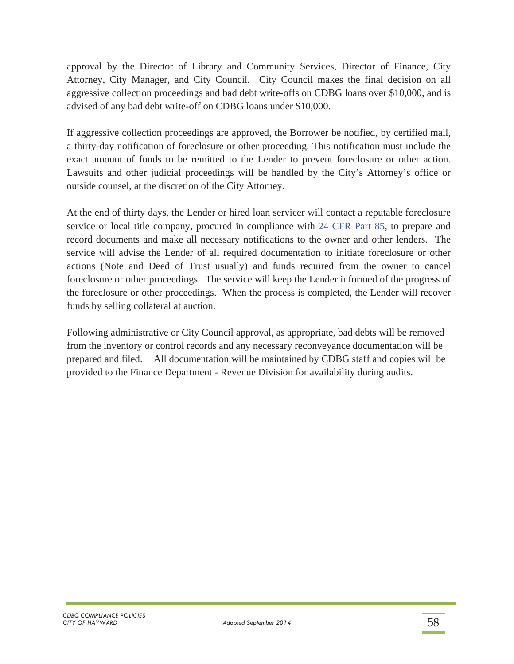approval by the Director of Library and Community Services, Director of Finance, City Attorney, City Manager, and City Council. City Council makes the final decision on all aggressive collection proceedings and bad debt write-offs on CDBG loans over \$10,000, and is advised of any bad debt write-off on CDBG loans under \$10,000.

If aggressive collection proceedings are approved, the Borrower be notified, by certified mail, a thirty-day notification of foreclosure or other proceeding. This notification must include the exact amount of funds to be remitted to the Lender to prevent foreclosure or other action. Lawsuits and other judicial proceedings will be handled by the City's Attorney's office or outside counsel, at the discretion of the City Attorney.

At the end of thirty days, the Lender or hired loan servicer will contact a reputable foreclosure service or local title company, procured in compliance with 24 CFR Part 85, to prepare and record documents and make all necessary notifications to the owner and other lenders. The service will advise the Lender of all required documentation to initiate foreclosure or other actions (Note and Deed of Trust usually) and funds required from the owner to cancel foreclosure or other proceedings. The service will keep the Lender informed of the progress of the foreclosure or other proceedings. When the process is completed, the Lender will recover funds by selling collateral at auction.

Following administrative or City Council approval, as appropriate, bad debts will be removed from the inventory or control records and any necessary reconveyance documentation will be prepared and filed. All documentation will be maintained by CDBG staff and copies will be provided to the Finance Department - Revenue Division for availability during audits.